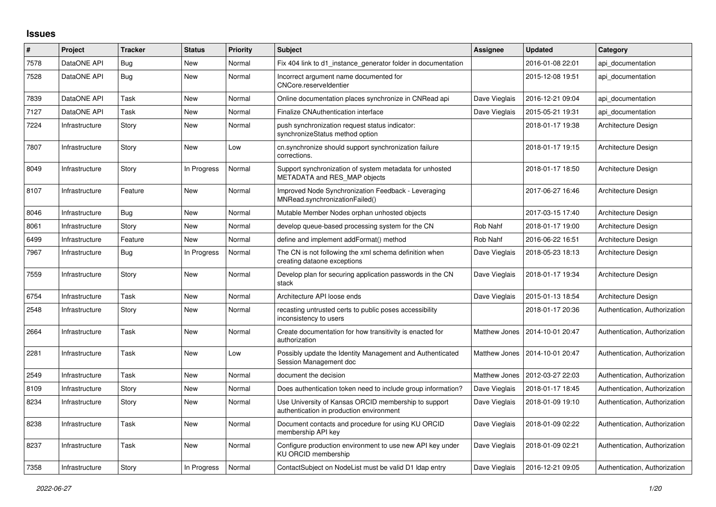## **Issues**

| #    | Project        | <b>Tracker</b> | <b>Status</b> | <b>Priority</b> | <b>Subject</b>                                                                                   | <b>Assignee</b>      | <b>Updated</b>   | Category                      |
|------|----------------|----------------|---------------|-----------------|--------------------------------------------------------------------------------------------------|----------------------|------------------|-------------------------------|
| 7578 | DataONE API    | Bug            | New           | Normal          | Fix 404 link to d1_instance_generator folder in documentation                                    |                      | 2016-01-08 22:01 | api documentation             |
| 7528 | DataONE API    | Bug            | <b>New</b>    | Normal          | Incorrect argument name documented for<br>CNCore.reserveldentier                                 |                      | 2015-12-08 19:51 | api documentation             |
| 7839 | DataONE API    | Task           | New           | Normal          | Online documentation places synchronize in CNRead api                                            | Dave Vieglais        | 2016-12-21 09:04 | api documentation             |
| 7127 | DataONE API    | Task           | <b>New</b>    | Normal          | Finalize CNAuthentication interface                                                              | Dave Vieglais        | 2015-05-21 19:31 | api_documentation             |
| 7224 | Infrastructure | Story          | <b>New</b>    | Normal          | push synchronization request status indicator:<br>synchronizeStatus method option                |                      | 2018-01-17 19:38 | Architecture Design           |
| 7807 | Infrastructure | Story          | New           | Low             | cn.synchronize should support synchronization failure<br>corrections.                            |                      | 2018-01-17 19:15 | Architecture Design           |
| 8049 | Infrastructure | Story          | In Progress   | Normal          | Support synchronization of system metadata for unhosted<br>METADATA and RES_MAP objects          |                      | 2018-01-17 18:50 | Architecture Design           |
| 8107 | Infrastructure | Feature        | New           | Normal          | Improved Node Synchronization Feedback - Leveraging<br>MNRead.synchronizationFailed()            |                      | 2017-06-27 16:46 | Architecture Design           |
| 8046 | Infrastructure | <b>Bug</b>     | <b>New</b>    | Normal          | Mutable Member Nodes orphan unhosted objects                                                     |                      | 2017-03-15 17:40 | Architecture Design           |
| 8061 | Infrastructure | Story          | New           | Normal          | develop queue-based processing system for the CN                                                 | Rob Nahf             | 2018-01-17 19:00 | Architecture Design           |
| 6499 | Infrastructure | Feature        | New           | Normal          | define and implement addFormat() method                                                          | Rob Nahf             | 2016-06-22 16:51 | Architecture Design           |
| 7967 | Infrastructure | Bug            | In Progress   | Normal          | The CN is not following the xml schema definition when<br>creating dataone exceptions            | Dave Vieglais        | 2018-05-23 18:13 | Architecture Design           |
| 7559 | Infrastructure | Story          | <b>New</b>    | Normal          | Develop plan for securing application passwords in the CN<br>stack                               | Dave Vieglais        | 2018-01-17 19:34 | Architecture Design           |
| 6754 | Infrastructure | Task           | <b>New</b>    | Normal          | Architecture API loose ends                                                                      | Dave Vieglais        | 2015-01-13 18:54 | Architecture Design           |
| 2548 | Infrastructure | Story          | New           | Normal          | recasting untrusted certs to public poses accessibility<br>inconsistency to users                |                      | 2018-01-17 20:36 | Authentication, Authorization |
| 2664 | Infrastructure | Task           | <b>New</b>    | Normal          | Create documentation for how transitivity is enacted for<br>authorization                        | <b>Matthew Jones</b> | 2014-10-01 20:47 | Authentication, Authorization |
| 2281 | Infrastructure | Task           | <b>New</b>    | Low             | Possibly update the Identity Management and Authenticated<br>Session Management doc              | Matthew Jones        | 2014-10-01 20:47 | Authentication, Authorization |
| 2549 | Infrastructure | Task           | <b>New</b>    | Normal          | document the decision                                                                            | <b>Matthew Jones</b> | 2012-03-27 22:03 | Authentication, Authorization |
| 8109 | Infrastructure | Story          | New           | Normal          | Does authentication token need to include group information?                                     | Dave Vieglais        | 2018-01-17 18:45 | Authentication, Authorization |
| 8234 | Infrastructure | Story          | <b>New</b>    | Normal          | Use University of Kansas ORCID membership to support<br>authentication in production environment | Dave Vieglais        | 2018-01-09 19:10 | Authentication, Authorization |
| 8238 | Infrastructure | Task           | New           | Normal          | Document contacts and procedure for using KU ORCID<br>membership API key                         | Dave Vieglais        | 2018-01-09 02:22 | Authentication, Authorization |
| 8237 | Infrastructure | Task           | <b>New</b>    | Normal          | Configure production environment to use new API key under<br>KU ORCID membership                 | Dave Vieglais        | 2018-01-09 02:21 | Authentication, Authorization |
| 7358 | Infrastructure | Story          | In Progress   | Normal          | ContactSubject on NodeList must be valid D1 Idap entry                                           | Dave Vieglais        | 2016-12-21 09:05 | Authentication, Authorization |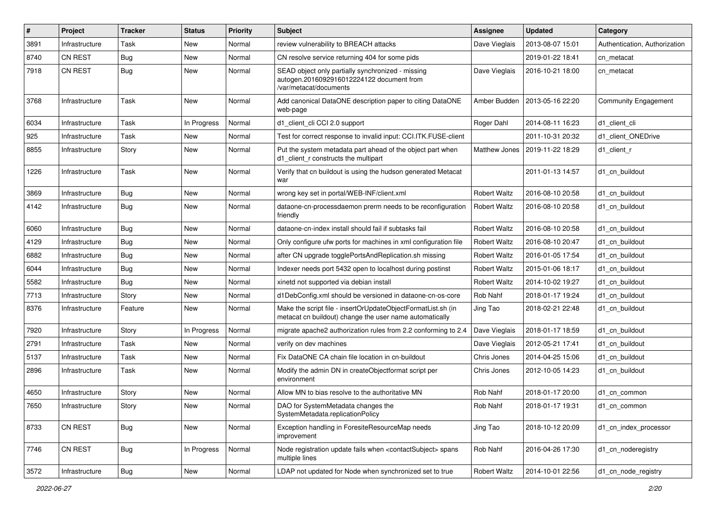| #    | Project        | <b>Tracker</b> | <b>Status</b> | <b>Priority</b> | <b>Subject</b>                                                                                                           | <b>Assignee</b>      | <b>Updated</b>   | Category                      |
|------|----------------|----------------|---------------|-----------------|--------------------------------------------------------------------------------------------------------------------------|----------------------|------------------|-------------------------------|
| 3891 | Infrastructure | Task           | New           | Normal          | review vulnerability to BREACH attacks                                                                                   | Dave Vieglais        | 2013-08-07 15:01 | Authentication, Authorization |
| 8740 | CN REST        | Bug            | <b>New</b>    | Normal          | CN resolve service returning 404 for some pids                                                                           |                      | 2019-01-22 18:41 | cn_metacat                    |
| 7918 | <b>CN REST</b> | Bug            | New           | Normal          | SEAD object only partially synchronized - missing<br>autogen.2016092916012224122 document from<br>/var/metacat/documents | Dave Vieglais        | 2016-10-21 18:00 | cn_metacat                    |
| 3768 | Infrastructure | Task           | New           | Normal          | Add canonical DataONE description paper to citing DataONE<br>web-page                                                    | Amber Budden         | 2013-05-16 22:20 | <b>Community Engagement</b>   |
| 6034 | Infrastructure | Task           | In Progress   | Normal          | d1_client_cli CCI 2.0 support                                                                                            | Roger Dahl           | 2014-08-11 16:23 | d1 client cli                 |
| 925  | Infrastructure | Task           | New           | Normal          | Test for correct response to invalid input: CCI.ITK.FUSE-client                                                          |                      | 2011-10-31 20:32 | d1 client ONEDrive            |
| 8855 | Infrastructure | Story          | New           | Normal          | Put the system metadata part ahead of the object part when<br>d1 client r constructs the multipart                       | <b>Matthew Jones</b> | 2019-11-22 18:29 | d1 client r                   |
| 1226 | Infrastructure | Task           | New           | Normal          | Verify that cn buildout is using the hudson generated Metacat<br>war                                                     |                      | 2011-01-13 14:57 | d1 cn buildout                |
| 3869 | Infrastructure | Bug            | New           | Normal          | wrong key set in portal/WEB-INF/client.xml                                                                               | <b>Robert Waltz</b>  | 2016-08-10 20:58 | d1_cn_buildout                |
| 4142 | Infrastructure | Bug            | New           | Normal          | dataone-cn-processdaemon prerm needs to be reconfiguration<br>friendly                                                   | <b>Robert Waltz</b>  | 2016-08-10 20:58 | d1 cn buildout                |
| 6060 | Infrastructure | Bug            | New           | Normal          | dataone-cn-index install should fail if subtasks fail                                                                    | <b>Robert Waltz</b>  | 2016-08-10 20:58 | d1 cn buildout                |
| 4129 | Infrastructure | <b>Bug</b>     | <b>New</b>    | Normal          | Only configure ufw ports for machines in xml configuration file                                                          | <b>Robert Waltz</b>  | 2016-08-10 20:47 | d1 cn buildout                |
| 6882 | Infrastructure | <b>Bug</b>     | New           | Normal          | after CN upgrade togglePortsAndReplication.sh missing                                                                    | <b>Robert Waltz</b>  | 2016-01-05 17:54 | d1 cn buildout                |
| 6044 | Infrastructure | Bug            | New           | Normal          | Indexer needs port 5432 open to localhost during postinst                                                                | <b>Robert Waltz</b>  | 2015-01-06 18:17 | d1 cn buildout                |
| 5582 | Infrastructure | <b>Bug</b>     | New           | Normal          | xinetd not supported via debian install                                                                                  | Robert Waltz         | 2014-10-02 19:27 | d1 cn buildout                |
| 7713 | Infrastructure | Story          | New           | Normal          | d1DebConfig.xml should be versioned in dataone-cn-os-core                                                                | Rob Nahf             | 2018-01-17 19:24 | d1 cn buildout                |
| 8376 | Infrastructure | Feature        | New           | Normal          | Make the script file - insertOrUpdateObjectFormatList.sh (in<br>metacat cn buildout) change the user name automatically  | Jing Tao             | 2018-02-21 22:48 | d1 cn buildout                |
| 7920 | Infrastructure | Story          | In Progress   | Normal          | migrate apache2 authorization rules from 2.2 conforming to 2.4                                                           | Dave Vieglais        | 2018-01-17 18:59 | d1 cn buildout                |
| 2791 | Infrastructure | Task           | New           | Normal          | verify on dev machines                                                                                                   | Dave Vieglais        | 2012-05-21 17:41 | d1 cn buildout                |
| 5137 | Infrastructure | Task           | New           | Normal          | Fix DataONE CA chain file location in cn-buildout                                                                        | Chris Jones          | 2014-04-25 15:06 | d1 cn buildout                |
| 2896 | Infrastructure | Task           | New           | Normal          | Modify the admin DN in createObjectformat script per<br>environment                                                      | Chris Jones          | 2012-10-05 14:23 | d1 cn buildout                |
| 4650 | Infrastructure | Story          | New           | Normal          | Allow MN to bias resolve to the authoritative MN                                                                         | Rob Nahf             | 2018-01-17 20:00 | d1_cn_common                  |
| 7650 | Infrastructure | Story          | New           | Normal          | DAO for SystemMetadata changes the<br>SystemMetadata.replicationPolicy                                                   | Rob Nahf             | 2018-01-17 19:31 | d1_cn_common                  |
| 8733 | CN REST        | Bug            | New           | Normal          | Exception handling in ForesiteResourceMap needs<br>improvement                                                           | Jing Tao             | 2018-10-12 20:09 | d1 cn index processor         |
| 7746 | CN REST        | <b>Bug</b>     | In Progress   | Normal          | Node registration update fails when <contactsubject> spans<br/>multiple lines</contactsubject>                           | Rob Nahf             | 2016-04-26 17:30 | d1 cn noderegistry            |
| 3572 | Infrastructure | Bug            | New           | Normal          | LDAP not updated for Node when synchronized set to true                                                                  | Robert Waltz         | 2014-10-01 22:56 | d1_cn_node_registry           |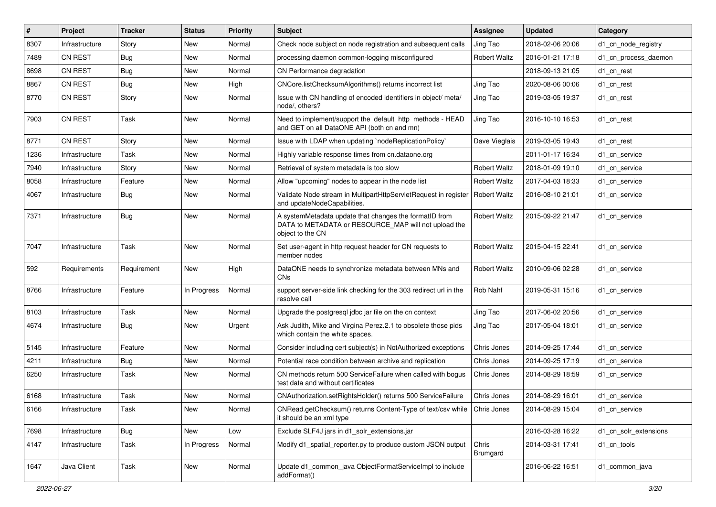| #    | Project        | <b>Tracker</b> | <b>Status</b> | <b>Priority</b> | Subject                                                                                                                            | <b>Assignee</b>     | <b>Updated</b>   | Category              |
|------|----------------|----------------|---------------|-----------------|------------------------------------------------------------------------------------------------------------------------------------|---------------------|------------------|-----------------------|
| 8307 | Infrastructure | Story          | New           | Normal          | Check node subject on node registration and subsequent calls                                                                       | Jing Tao            | 2018-02-06 20:06 | d1 cn node registry   |
| 7489 | <b>CN REST</b> | <b>Bug</b>     | New           | Normal          | processing daemon common-logging misconfigured                                                                                     | <b>Robert Waltz</b> | 2016-01-21 17:18 | d1_cn_process_daemon  |
| 8698 | <b>CN REST</b> | <b>Bug</b>     | New           | Normal          | CN Performance degradation                                                                                                         |                     | 2018-09-13 21:05 | d1 cn rest            |
| 8867 | <b>CN REST</b> | <b>Bug</b>     | New           | High            | CNCore.listChecksumAlgorithms() returns incorrect list                                                                             | Jing Tao            | 2020-08-06 00:06 | d1_cn_rest            |
| 8770 | CN REST        | Story          | New           | Normal          | Issue with CN handling of encoded identifiers in object/ meta/<br>node/, others?                                                   | Jing Tao            | 2019-03-05 19:37 | d1_cn_rest            |
| 7903 | <b>CN REST</b> | Task           | New           | Normal          | Need to implement/support the default http methods - HEAD<br>and GET on all DataONE API (both cn and mn)                           | Jing Tao            | 2016-10-10 16:53 | d1 cn rest            |
| 8771 | CN REST        | Story          | New           | Normal          | Issue with LDAP when updating `nodeReplicationPolicy`                                                                              | Dave Vieglais       | 2019-03-05 19:43 | d1 cn rest            |
| 1236 | Infrastructure | Task           | New           | Normal          | Highly variable response times from cn.dataone.org                                                                                 |                     | 2011-01-17 16:34 | d1 cn service         |
| 7940 | Infrastructure | Story          | New           | Normal          | Retrieval of system metadata is too slow                                                                                           | <b>Robert Waltz</b> | 2018-01-09 19:10 | d1 cn service         |
| 8058 | Infrastructure | Feature        | New           | Normal          | Allow "upcoming" nodes to appear in the node list                                                                                  | <b>Robert Waltz</b> | 2017-04-03 18:33 | d1 cn service         |
| 4067 | Infrastructure | <b>Bug</b>     | New           | Normal          | Validate Node stream in MultipartHttpServletRequest in register<br>and updateNodeCapabilities.                                     | <b>Robert Waltz</b> | 2016-08-10 21:01 | d1 cn service         |
| 7371 | Infrastructure | <b>Bug</b>     | New           | Normal          | A systemMetadata update that changes the formatID from<br>DATA to METADATA or RESOURCE_MAP will not upload the<br>object to the CN | <b>Robert Waltz</b> | 2015-09-22 21:47 | d1 cn service         |
| 7047 | Infrastructure | Task           | New           | Normal          | Set user-agent in http request header for CN requests to<br>member nodes                                                           | <b>Robert Waltz</b> | 2015-04-15 22:41 | d1 cn service         |
| 592  | Requirements   | Requirement    | New           | High            | DataONE needs to synchronize metadata between MNs and<br>CN <sub>s</sub>                                                           | <b>Robert Waltz</b> | 2010-09-06 02:28 | d1_cn_service         |
| 8766 | Infrastructure | Feature        | In Progress   | Normal          | support server-side link checking for the 303 redirect url in the<br>resolve call                                                  | Rob Nahf            | 2019-05-31 15:16 | d1 cn service         |
| 8103 | Infrastructure | Task           | <b>New</b>    | Normal          | Upgrade the postgresgl jdbc jar file on the cn context                                                                             | Jing Tao            | 2017-06-02 20:56 | d1 cn service         |
| 4674 | Infrastructure | Bug            | New           | Urgent          | Ask Judith, Mike and Virgina Perez.2.1 to obsolete those pids<br>which contain the white spaces.                                   | Jing Tao            | 2017-05-04 18:01 | d1 cn service         |
| 5145 | Infrastructure | Feature        | New           | Normal          | Consider including cert subject(s) in NotAuthorized exceptions                                                                     | Chris Jones         | 2014-09-25 17:44 | d1 cn service         |
| 4211 | Infrastructure | Bug            | New           | Normal          | Potential race condition between archive and replication                                                                           | Chris Jones         | 2014-09-25 17:19 | d1 cn service         |
| 6250 | Infrastructure | Task           | New           | Normal          | CN methods return 500 ServiceFailure when called with bogus<br>test data and without certificates                                  | Chris Jones         | 2014-08-29 18:59 | d1 cn service         |
| 6168 | Infrastructure | Task           | New           | Normal          | CNAuthorization.setRightsHolder() returns 500 ServiceFailure                                                                       | Chris Jones         | 2014-08-29 16:01 | d1 cn service         |
| 6166 | Infrastructure | Task           | New           | Normal          | CNRead.getChecksum() returns Content-Type of text/csv while   Chris Jones<br>it should be an xml type                              |                     | 2014-08-29 15:04 | d1_cn_service         |
| 7698 | Infrastructure | <b>Bug</b>     | <b>New</b>    | Low             | Exclude SLF4J jars in d1 solr extensions.jar                                                                                       |                     | 2016-03-28 16:22 | d1_cn_solr_extensions |
| 4147 | Infrastructure | Task           | In Progress   | Normal          | Modify d1_spatial_reporter.py to produce custom JSON output                                                                        | Chris<br>Brumgard   | 2014-03-31 17:41 | d1_cn_tools           |
| 1647 | Java Client    | Task           | New           | Normal          | Update d1_common_java ObjectFormatServiceImpl to include<br>addFormat()                                                            |                     | 2016-06-22 16:51 | d1_common_java        |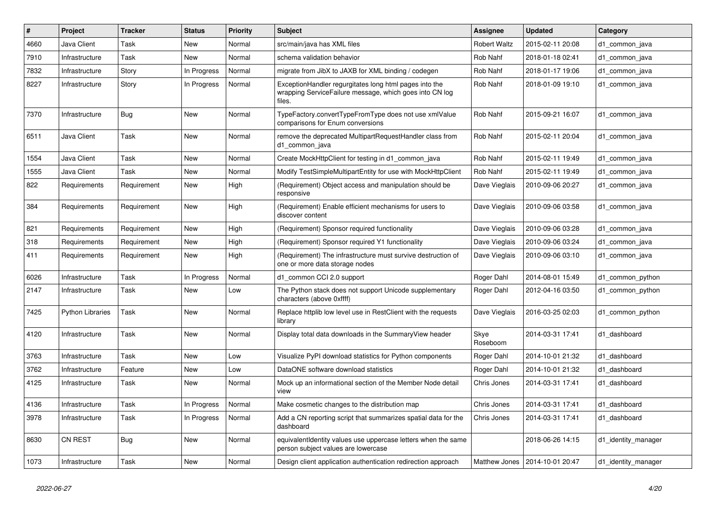| #    | Project                 | <b>Tracker</b> | <b>Status</b> | <b>Priority</b> | <b>Subject</b>                                                                                                              | <b>Assignee</b>     | <b>Updated</b>                   | Category            |
|------|-------------------------|----------------|---------------|-----------------|-----------------------------------------------------------------------------------------------------------------------------|---------------------|----------------------------------|---------------------|
| 4660 | Java Client             | Task           | New           | Normal          | src/main/java has XML files                                                                                                 | <b>Robert Waltz</b> | 2015-02-11 20:08                 | d1 common java      |
| 7910 | Infrastructure          | Task           | New           | Normal          | schema validation behavior                                                                                                  | Rob Nahf            | 2018-01-18 02:41                 | d1 common java      |
| 7832 | Infrastructure          | Story          | In Progress   | Normal          | migrate from JibX to JAXB for XML binding / codegen                                                                         | Rob Nahf            | 2018-01-17 19:06                 | d1 common java      |
| 8227 | Infrastructure          | Story          | In Progress   | Normal          | ExceptionHandler regurgitates long html pages into the<br>wrapping ServiceFailure message, which goes into CN log<br>files. | Rob Nahf            | 2018-01-09 19:10                 | d1 common java      |
| 7370 | Infrastructure          | <b>Bug</b>     | <b>New</b>    | Normal          | TypeFactory.convertTypeFromType does not use xmlValue<br>comparisons for Enum conversions                                   | Rob Nahf            | 2015-09-21 16:07                 | d1_common_java      |
| 6511 | Java Client             | Task           | New           | Normal          | remove the deprecated MultipartRequestHandler class from<br>d1 common java                                                  | Rob Nahf            | 2015-02-11 20:04                 | d1 common java      |
| 1554 | Java Client             | Task           | <b>New</b>    | Normal          | Create MockHttpClient for testing in d1_common_java                                                                         | Rob Nahf            | 2015-02-11 19:49                 | d1_common_java      |
| 1555 | Java Client             | Task           | New           | Normal          | Modify TestSimpleMultipartEntity for use with MockHttpClient                                                                | Rob Nahf            | 2015-02-11 19:49                 | d1_common_java      |
| 822  | Requirements            | Requirement    | New           | High            | (Requirement) Object access and manipulation should be<br>responsive                                                        | Dave Vieglais       | 2010-09-06 20:27                 | d1_common_java      |
| 384  | Requirements            | Requirement    | <b>New</b>    | High            | (Requirement) Enable efficient mechanisms for users to<br>discover content                                                  | Dave Vieglais       | 2010-09-06 03:58                 | d1 common java      |
| 821  | Requirements            | Requirement    | New           | High            | (Requirement) Sponsor required functionality                                                                                | Dave Vieglais       | 2010-09-06 03:28                 | d1 common java      |
| 318  | Requirements            | Requirement    | New           | High            | (Requirement) Sponsor required Y1 functionality                                                                             | Dave Vieglais       | 2010-09-06 03:24                 | d1 common java      |
| 411  | Requirements            | Requirement    | New           | High            | (Requirement) The infrastructure must survive destruction of<br>one or more data storage nodes                              | Dave Vieglais       | 2010-09-06 03:10                 | d1_common_java      |
| 6026 | Infrastructure          | Task           | In Progress   | Normal          | d1 common CCI 2.0 support                                                                                                   | Roger Dahl          | 2014-08-01 15:49                 | d1 common python    |
| 2147 | Infrastructure          | Task           | New           | Low             | The Python stack does not support Unicode supplementary<br>characters (above 0xffff)                                        | Roger Dahl          | 2012-04-16 03:50                 | d1 common python    |
| 7425 | <b>Python Libraries</b> | Task           | New           | Normal          | Replace httplib low level use in RestClient with the requests<br>library                                                    | Dave Vieglais       | 2016-03-25 02:03                 | d1 common python    |
| 4120 | Infrastructure          | Task           | <b>New</b>    | Normal          | Display total data downloads in the SummaryView header                                                                      | Skye<br>Roseboom    | 2014-03-31 17:41                 | d1 dashboard        |
| 3763 | Infrastructure          | Task           | New           | Low             | Visualize PyPI download statistics for Python components                                                                    | Roger Dahl          | 2014-10-01 21:32                 | d1 dashboard        |
| 3762 | Infrastructure          | Feature        | New           | Low             | DataONE software download statistics                                                                                        | Roger Dahl          | 2014-10-01 21:32                 | d1 dashboard        |
| 4125 | Infrastructure          | Task           | New           | Normal          | Mock up an informational section of the Member Node detail<br>view                                                          | Chris Jones         | 2014-03-31 17:41                 | d1 dashboard        |
| 4136 | Infrastructure          | Task           | In Progress   | Normal          | Make cosmetic changes to the distribution map                                                                               | Chris Jones         | 2014-03-31 17:41                 | d1 dashboard        |
| 3978 | Infrastructure          | Task           | In Progress   | Normal          | Add a CN reporting script that summarizes spatial data for the<br>dashboard                                                 | Chris Jones         | 2014-03-31 17:41                 | d1 dashboard        |
| 8630 | <b>CN REST</b>          | Bug            | New           | Normal          | equivalentIdentity values use uppercase letters when the same<br>person subject values are lowercase                        |                     | 2018-06-26 14:15                 | d1 identity manager |
| 1073 | Infrastructure          | Task           | New           | Normal          | Design client application authentication redirection approach                                                               |                     | Matthew Jones   2014-10-01 20:47 | d1 identity manager |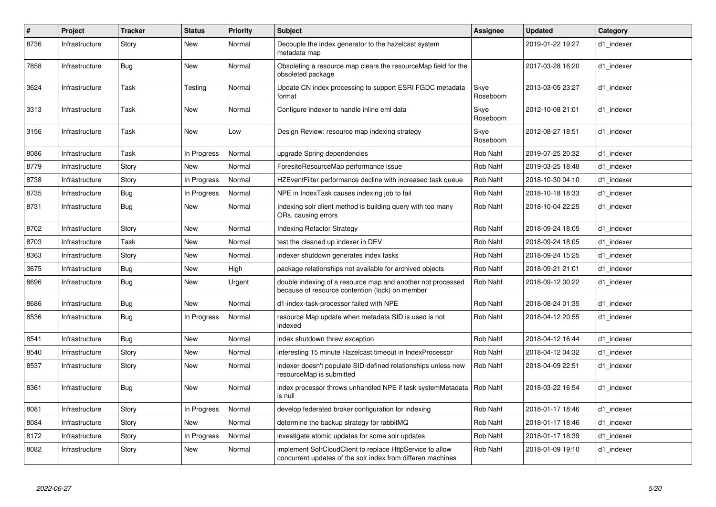| $\#$ | Project        | <b>Tracker</b> | <b>Status</b> | <b>Priority</b> | <b>Subject</b>                                                                                                           | <b>Assignee</b>  | <b>Updated</b>   | Category   |
|------|----------------|----------------|---------------|-----------------|--------------------------------------------------------------------------------------------------------------------------|------------------|------------------|------------|
| 8736 | Infrastructure | Story          | New           | Normal          | Decouple the index generator to the hazelcast system<br>metadata map                                                     |                  | 2019-01-22 19:27 | d1_indexer |
| 7858 | Infrastructure | <b>Bug</b>     | <b>New</b>    | Normal          | Obsoleting a resource map clears the resourceMap field for the<br>obsoleted package                                      |                  | 2017-03-28 16:20 | d1 indexer |
| 3624 | Infrastructure | Task           | Testing       | Normal          | Update CN index processing to support ESRI FGDC metadata<br>format                                                       | Skye<br>Roseboom | 2013-03-05 23:27 | d1 indexer |
| 3313 | Infrastructure | Task           | <b>New</b>    | Normal          | Configure indexer to handle inline eml data                                                                              | Skye<br>Roseboom | 2012-10-08 21:01 | d1_indexer |
| 3156 | Infrastructure | Task           | <b>New</b>    | Low             | Design Review: resource map indexing strategy                                                                            | Skye<br>Roseboom | 2012-08-27 18:51 | d1 indexer |
| 8086 | Infrastructure | Task           | In Progress   | Normal          | upgrade Spring dependencies                                                                                              | Rob Nahf         | 2019-07-25 20:32 | d1 indexer |
| 8779 | Infrastructure | Story          | New           | Normal          | ForesiteResourceMap performance issue                                                                                    | Rob Nahf         | 2019-03-25 18:48 | d1 indexer |
| 8738 | Infrastructure | Story          | In Progress   | Normal          | HZEventFilter performance decline with increased task queue                                                              | Rob Nahf         | 2018-10-30 04:10 | d1 indexer |
| 8735 | Infrastructure | Bug            | In Progress   | Normal          | NPE in IndexTask causes indexing job to fail                                                                             | Rob Nahf         | 2018-10-18 18:33 | d1 indexer |
| 8731 | Infrastructure | <b>Bug</b>     | New           | Normal          | Indexing solr client method is building query with too many<br>ORs, causing errors                                       | Rob Nahf         | 2018-10-04 22:25 | d1 indexer |
| 8702 | Infrastructure | Story          | <b>New</b>    | Normal          | <b>Indexing Refactor Strategy</b>                                                                                        | Rob Nahf         | 2018-09-24 18:05 | d1 indexer |
| 8703 | Infrastructure | Task           | New           | Normal          | test the cleaned up indexer in DEV                                                                                       | Rob Nahf         | 2018-09-24 18:05 | d1 indexer |
| 8363 | Infrastructure | Story          | New           | Normal          | indexer shutdown generates index tasks                                                                                   | Rob Nahf         | 2018-09-24 15:25 | d1 indexer |
| 3675 | Infrastructure | Bug            | New           | High            | package relationships not available for archived objects                                                                 | Rob Nahf         | 2018-09-21 21:01 | d1_indexer |
| 8696 | Infrastructure | <b>Bug</b>     | New           | Urgent          | double indexing of a resource map and another not processed<br>because of resource contention (lock) on member           | Rob Nahf         | 2018-09-12 00:22 | d1 indexer |
| 8686 | Infrastructure | Bug            | <b>New</b>    | Normal          | d1-index-task-processor failed with NPE                                                                                  | Rob Nahf         | 2018-08-24 01:35 | d1 indexer |
| 8536 | Infrastructure | Bug            | In Progress   | Normal          | resource Map update when metadata SID is used is not<br>indexed                                                          | Rob Nahf         | 2018-04-12 20:55 | d1 indexer |
| 8541 | Infrastructure | <b>Bug</b>     | <b>New</b>    | Normal          | index shutdown threw exception                                                                                           | Rob Nahf         | 2018-04-12 16:44 | d1 indexer |
| 8540 | Infrastructure | Story          | <b>New</b>    | Normal          | interesting 15 minute Hazelcast timeout in IndexProcessor                                                                | Rob Nahf         | 2018-04-12 04:32 | d1 indexer |
| 8537 | Infrastructure | Story          | New           | Normal          | ndexer doesn't populate SID-defined relationships unless new<br>resourceMap is submitted                                 | Rob Nahf         | 2018-04-09 22:51 | d1 indexer |
| 8361 | Infrastructure | <b>Bug</b>     | <b>New</b>    | Normal          | index processor throws unhandled NPE if task systemMetadata<br>is null                                                   | Rob Nahf         | 2018-03-22 16:54 | d1 indexer |
| 8081 | Infrastructure | Story          | In Progress   | Normal          | develop federated broker configuration for indexing                                                                      | Rob Nahf         | 2018-01-17 18:46 | d1 indexer |
| 8084 | Infrastructure | Story          | <b>New</b>    | Normal          | determine the backup strategy for rabbitMQ                                                                               | Rob Nahf         | 2018-01-17 18:46 | d1 indexer |
| 8172 | Infrastructure | Story          | In Progress   | Normal          | investigate atomic updates for some solr updates                                                                         | Rob Nahf         | 2018-01-17 18:39 | d1 indexer |
| 8082 | Infrastructure | Story          | <b>New</b>    | Normal          | implement SolrCloudClient to replace HttpService to allow<br>concurrent updates of the solr index from differen machines | Rob Nahf         | 2018-01-09 19:10 | d1_indexer |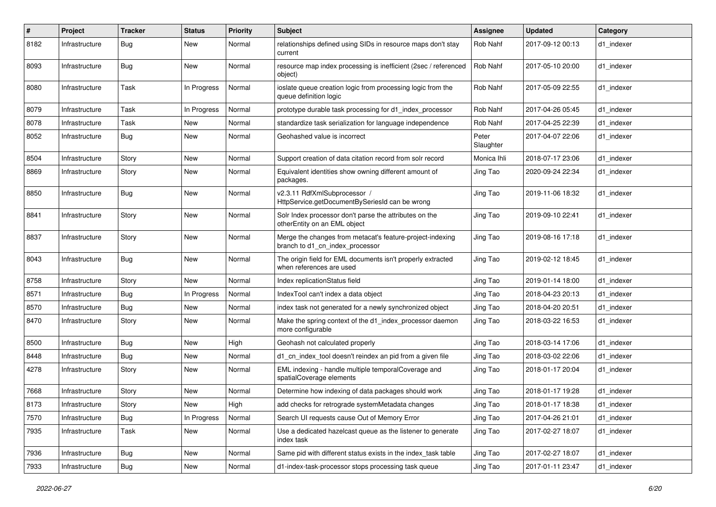| #    | Project        | <b>Tracker</b> | <b>Status</b> | <b>Priority</b> | Subject                                                                                      | <b>Assignee</b>    | <b>Updated</b>   | Category   |
|------|----------------|----------------|---------------|-----------------|----------------------------------------------------------------------------------------------|--------------------|------------------|------------|
| 8182 | Infrastructure | <b>Bug</b>     | New           | Normal          | relationships defined using SIDs in resource maps don't stay<br>current                      | Rob Nahf           | 2017-09-12 00:13 | d1 indexer |
| 8093 | Infrastructure | <b>Bug</b>     | New           | Normal          | resource map index processing is inefficient (2sec / referenced<br>object)                   | Rob Nahf           | 2017-05-10 20:00 | d1_indexer |
| 8080 | Infrastructure | Task           | In Progress   | Normal          | ioslate queue creation logic from processing logic from the<br>queue definition logic        | Rob Nahf           | 2017-05-09 22:55 | d1 indexer |
| 8079 | Infrastructure | Task           | In Progress   | Normal          | prototype durable task processing for d1_index_processor                                     | Rob Nahf           | 2017-04-26 05:45 | d1 indexer |
| 8078 | Infrastructure | Task           | New           | Normal          | standardize task serialization for language independence                                     | Rob Nahf           | 2017-04-25 22:39 | d1_indexer |
| 8052 | Infrastructure | <b>Bug</b>     | New           | Normal          | Geohashed value is incorrect                                                                 | Peter<br>Slaughter | 2017-04-07 22:06 | d1 indexer |
| 8504 | Infrastructure | Story          | New           | Normal          | Support creation of data citation record from solr record                                    | Monica Ihli        | 2018-07-17 23:06 | d1 indexer |
| 8869 | Infrastructure | Story          | New           | Normal          | Equivalent identities show owning different amount of<br>packages.                           | Jing Tao           | 2020-09-24 22:34 | d1 indexer |
| 8850 | Infrastructure | Bug            | New           | Normal          | v2.3.11 RdfXmlSubprocessor /<br>HttpService.getDocumentBySeriesId can be wrong               | Jing Tao           | 2019-11-06 18:32 | d1_indexer |
| 8841 | Infrastructure | Story          | New           | Normal          | Solr Index processor don't parse the attributes on the<br>otherEntity on an EML object       | Jing Tao           | 2019-09-10 22:41 | d1_indexer |
| 8837 | Infrastructure | Story          | New           | Normal          | Merge the changes from metacat's feature-project-indexing<br>branch to d1 cn index processor | Jing Tao           | 2019-08-16 17:18 | d1 indexer |
| 8043 | Infrastructure | <b>Bug</b>     | New           | Normal          | The origin field for EML documents isn't properly extracted<br>when references are used      | Jing Tao           | 2019-02-12 18:45 | d1 indexer |
| 8758 | Infrastructure | Story          | New           | Normal          | Index replicationStatus field                                                                | Jing Tao           | 2019-01-14 18:00 | d1 indexer |
| 8571 | Infrastructure | Bug            | In Progress   | Normal          | IndexTool can't index a data object                                                          | Jing Tao           | 2018-04-23 20:13 | d1_indexer |
| 8570 | Infrastructure | Bug            | New           | Normal          | index task not generated for a newly synchronized object                                     | Jing Tao           | 2018-04-20 20:51 | d1 indexer |
| 8470 | Infrastructure | Story          | New           | Normal          | Make the spring context of the d1_index_processor daemon<br>more configurable                | Jing Tao           | 2018-03-22 16:53 | d1 indexer |
| 8500 | Infrastructure | <b>Bug</b>     | New           | High            | Geohash not calculated properly                                                              | Jing Tao           | 2018-03-14 17:06 | d1 indexer |
| 8448 | Infrastructure | <b>Bug</b>     | New           | Normal          | d1_cn_index_tool doesn't reindex an pid from a given file                                    | Jing Tao           | 2018-03-02 22:06 | d1 indexer |
| 4278 | Infrastructure | Story          | New           | Normal          | EML indexing - handle multiple temporalCoverage and<br>spatialCoverage elements              | Jing Tao           | 2018-01-17 20:04 | d1 indexer |
| 7668 | Infrastructure | Story          | New           | Normal          | Determine how indexing of data packages should work                                          | Jing Tao           | 2018-01-17 19:28 | d1_indexer |
| 8173 | Infrastructure | Story          | New           | High            | add checks for retrograde systemMetadata changes                                             | Jing Tao           | 2018-01-17 18:38 | d1_indexer |
| 7570 | Infrastructure | Bug            | In Progress   | Normal          | Search UI requests cause Out of Memory Error                                                 | Jing Tao           | 2017-04-26 21:01 | d1 indexer |
| 7935 | Infrastructure | Task           | New           | Normal          | Use a dedicated hazelcast queue as the listener to generate<br>index task                    | Jing Tao           | 2017-02-27 18:07 | d1_indexer |
| 7936 | Infrastructure | Bug            | New           | Normal          | Same pid with different status exists in the index_task table                                | Jing Tao           | 2017-02-27 18:07 | d1 indexer |
| 7933 | Infrastructure | <b>Bug</b>     | New           | Normal          | d1-index-task-processor stops processing task queue                                          | Jing Tao           | 2017-01-11 23:47 | d1_indexer |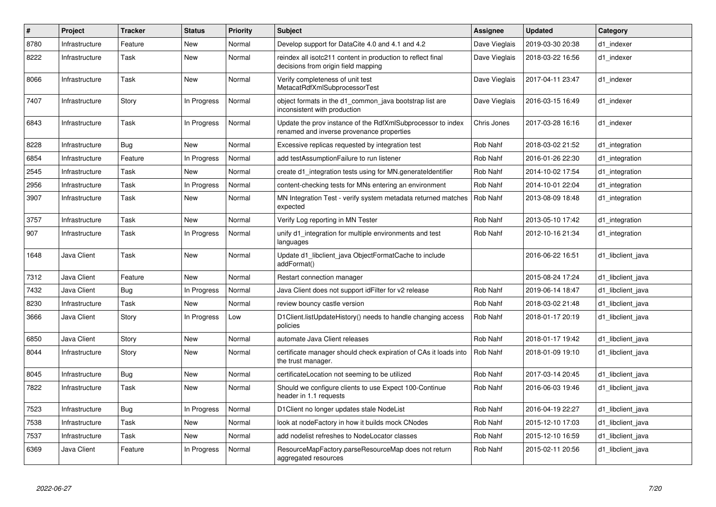| $\#$ | Project            | <b>Tracker</b> | <b>Status</b> | <b>Priority</b> | <b>Subject</b>                                                                                           | Assignee      | <b>Updated</b>   | Category          |
|------|--------------------|----------------|---------------|-----------------|----------------------------------------------------------------------------------------------------------|---------------|------------------|-------------------|
| 8780 | Infrastructure     | Feature        | <b>New</b>    | Normal          | Develop support for DataCite 4.0 and 4.1 and 4.2                                                         | Dave Vieglais | 2019-03-30 20:38 | d1_indexer        |
| 8222 | Infrastructure     | Task           | New           | Normal          | reindex all isotc211 content in production to reflect final<br>decisions from origin field mapping       | Dave Vieglais | 2018-03-22 16:56 | d1 indexer        |
| 8066 | Infrastructure     | Task           | New           | Normal          | Verify completeness of unit test<br>MetacatRdfXmlSubprocessorTest                                        | Dave Vieglais | 2017-04-11 23:47 | d1 indexer        |
| 7407 | Infrastructure     | Story          | In Progress   | Normal          | object formats in the d1 common java bootstrap list are<br>inconsistent with production                  | Dave Vieglais | 2016-03-15 16:49 | d1_indexer        |
| 6843 | Infrastructure     | Task           | In Progress   | Normal          | Update the prov instance of the RdfXmlSubprocessor to index<br>renamed and inverse provenance properties | Chris Jones   | 2017-03-28 16:16 | d1 indexer        |
| 8228 | Infrastructure     | <b>Bug</b>     | New           | Normal          | Excessive replicas requested by integration test                                                         | Rob Nahf      | 2018-03-02 21:52 | d1_integration    |
| 6854 | Infrastructure     | Feature        | In Progress   | Normal          | add testAssumptionFailure to run listener                                                                | Rob Nahf      | 2016-01-26 22:30 | d1 integration    |
| 2545 | Infrastructure     | Task           | New           | Normal          | create d1 integration tests using for MN generateldentifier                                              | Rob Nahf      | 2014-10-02 17:54 | d1 integration    |
| 2956 | Infrastructure     | Task           | In Progress   | Normal          | content-checking tests for MNs entering an environment                                                   | Rob Nahf      | 2014-10-01 22:04 | d1_integration    |
| 3907 | Infrastructure     | Task           | New           | Normal          | MN Integration Test - verify system metadata returned matches<br>expected                                | Rob Nahf      | 2013-08-09 18:48 | d1 integration    |
| 3757 | Infrastructure     | Task           | <b>New</b>    | Normal          | Verify Log reporting in MN Tester                                                                        | Rob Nahf      | 2013-05-10 17:42 | d1_integration    |
| 907  | Infrastructure     | Task           | In Progress   | Normal          | unify d1 integration for multiple environments and test<br>languages                                     | Rob Nahf      | 2012-10-16 21:34 | d1 integration    |
| 1648 | Java Client        | Task           | <b>New</b>    | Normal          | Update d1 libclient java ObjectFormatCache to include<br>addFormat()                                     |               | 2016-06-22 16:51 | d1 libclient java |
| 7312 | <b>Java Client</b> | Feature        | <b>New</b>    | Normal          | Restart connection manager                                                                               |               | 2015-08-24 17:24 | d1 libclient java |
| 7432 | Java Client        | Bug            | In Progress   | Normal          | Java Client does not support idFilter for v2 release                                                     | Rob Nahf      | 2019-06-14 18:47 | d1 libclient java |
| 8230 | Infrastructure     | Task           | New           | Normal          | review bouncy castle version                                                                             | Rob Nahf      | 2018-03-02 21:48 | d1 libclient java |
| 3666 | Java Client        | Story          | In Progress   | Low             | D1Client.listUpdateHistory() needs to handle changing access<br>policies                                 | Rob Nahf      | 2018-01-17 20:19 | d1 libclient java |
| 6850 | Java Client        | Story          | New           | Normal          | automate Java Client releases                                                                            | Rob Nahf      | 2018-01-17 19:42 | d1 libclient java |
| 8044 | Infrastructure     | Story          | <b>New</b>    | Normal          | certificate manager should check expiration of CAs it loads into<br>the trust manager.                   | Rob Nahf      | 2018-01-09 19:10 | d1_libclient_java |
| 8045 | Infrastructure     | <b>Bug</b>     | <b>New</b>    | Normal          | certificateLocation not seeming to be utilized                                                           | Rob Nahf      | 2017-03-14 20:45 | d1_libclient_java |
| 7822 | Infrastructure     | Task           | New           | Normal          | Should we configure clients to use Expect 100-Continue<br>header in 1.1 requests                         | Rob Nahf      | 2016-06-03 19:46 | d1 libclient java |
| 7523 | Infrastructure     | Bug            | In Progress   | Normal          | D1Client no longer updates stale NodeList                                                                | Rob Nahf      | 2016-04-19 22:27 | d1 libclient java |
| 7538 | Infrastructure     | Task           | <b>New</b>    | Normal          | look at nodeFactory in how it builds mock CNodes                                                         | Rob Nahf      | 2015-12-10 17:03 | d1 libclient java |
| 7537 | Infrastructure     | Task           | New           | Normal          | add nodelist refreshes to NodeLocator classes                                                            | Rob Nahf      | 2015-12-10 16:59 | d1 libclient java |
| 6369 | Java Client        | Feature        | In Progress   | Normal          | ResourceMapFactory.parseResourceMap does not return<br>aggregated resources                              | Rob Nahf      | 2015-02-11 20:56 | d1_libclient_java |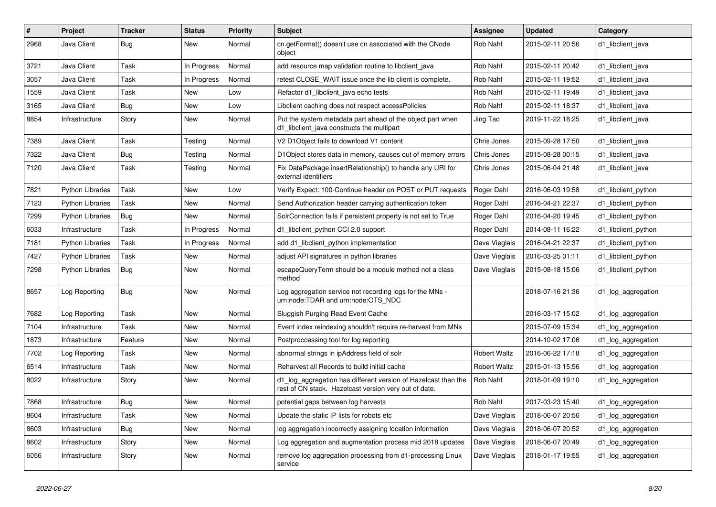| #    | Project                 | <b>Tracker</b> | <b>Status</b> | <b>Priority</b> | <b>Subject</b>                                                                                                          | <b>Assignee</b>     | <b>Updated</b>   | Category            |
|------|-------------------------|----------------|---------------|-----------------|-------------------------------------------------------------------------------------------------------------------------|---------------------|------------------|---------------------|
| 2968 | Java Client             | <b>Bug</b>     | New           | Normal          | cn.getFormat() doesn't use cn associated with the CNode<br>object                                                       | Rob Nahf            | 2015-02-11 20:56 | d1_libclient_java   |
| 3721 | Java Client             | Task           | In Progress   | Normal          | add resource map validation routine to libclient_java                                                                   | Rob Nahf            | 2015-02-11 20:42 | d1 libclient java   |
| 3057 | Java Client             | Task           | In Progress   | Normal          | retest CLOSE WAIT issue once the lib client is complete.                                                                | Rob Nahf            | 2015-02-11 19:52 | d1_libclient_java   |
| 1559 | Java Client             | Task           | New           | Low             | Refactor d1 libclient java echo tests                                                                                   | Rob Nahf            | 2015-02-11 19:49 | d1 libclient java   |
| 3165 | Java Client             | <b>Bug</b>     | New           | Low             | Libclient caching does not respect accessPolicies                                                                       | Rob Nahf            | 2015-02-11 18:37 | d1 libclient java   |
| 8854 | Infrastructure          | Story          | New           | Normal          | Put the system metadata part ahead of the object part when<br>d1_libclient_java constructs the multipart                | Jing Tao            | 2019-11-22 18:25 | d1 libclient java   |
| 7389 | Java Client             | <b>Task</b>    | Testing       | Normal          | V2 D1Object fails to download V1 content                                                                                | Chris Jones         | 2015-09-28 17:50 | d1_libclient_java   |
| 7322 | Java Client             | <b>Bug</b>     | Testing       | Normal          | D1Object stores data in memory, causes out of memory errors                                                             | Chris Jones         | 2015-08-28 00:15 | d1_libclient_java   |
| 7120 | Java Client             | Task           | Testing       | Normal          | Fix DataPackage.insertRelationship() to handle any URI for<br>external identifiers                                      | Chris Jones         | 2015-06-04 21:48 | d1 libclient java   |
| 7821 | <b>Python Libraries</b> | Task           | New           | Low             | Verify Expect: 100-Continue header on POST or PUT requests                                                              | Roger Dahl          | 2016-06-03 19:58 | d1 libclient python |
| 7123 | <b>Python Libraries</b> | Task           | New           | Normal          | Send Authorization header carrying authentication token                                                                 | Roger Dahl          | 2016-04-21 22:37 | d1_libclient_python |
| 7299 | <b>Python Libraries</b> | <b>Bug</b>     | New           | Normal          | SolrConnection fails if persistent property is not set to True                                                          | Roger Dahl          | 2016-04-20 19:45 | d1 libclient python |
| 6033 | Infrastructure          | Task           | In Progress   | Normal          | d1_libclient_python CCI 2.0 support                                                                                     | Roger Dahl          | 2014-08-11 16:22 | d1 libclient python |
| 7181 | <b>Python Libraries</b> | Task           | In Progress   | Normal          | add d1_libclient_python implementation                                                                                  | Dave Vieglais       | 2016-04-21 22:37 | d1_libclient_python |
| 7427 | <b>Python Libraries</b> | Task           | New           | Normal          | adjust API signatures in python libraries                                                                               | Dave Vieglais       | 2016-03-25 01:11 | d1 libclient python |
| 7298 | <b>Python Libraries</b> | Bug            | New           | Normal          | escapeQueryTerm should be a module method not a class<br>method                                                         | Dave Vieglais       | 2015-08-18 15:06 | d1_libclient_python |
| 8657 | Log Reporting           | <b>Bug</b>     | New           | Normal          | Log aggregation service not recording logs for the MNs -<br>urn:node:TDAR and urn:node:OTS NDC                          |                     | 2018-07-16 21:36 | d1_log_aggregation  |
| 7682 | Log Reporting           | Task           | New           | Normal          | Sluggish Purging Read Event Cache                                                                                       |                     | 2016-03-17 15:02 | d1_log_aggregation  |
| 7104 | Infrastructure          | Task           | New           | Normal          | Event index reindexing shouldn't require re-harvest from MNs                                                            |                     | 2015-07-09 15:34 | d1_log_aggregation  |
| 1873 | Infrastructure          | Feature        | New           | Normal          | Postproccessing tool for log reporting                                                                                  |                     | 2014-10-02 17:06 | d1_log_aggregation  |
| 7702 | Log Reporting           | Task           | New           | Normal          | abnormal strings in ipAddress field of solr                                                                             | <b>Robert Waltz</b> | 2016-06-22 17:18 | d1_log_aggregation  |
| 6514 | Infrastructure          | Task           | New           | Normal          | Reharvest all Records to build initial cache                                                                            | <b>Robert Waltz</b> | 2015-01-13 15:56 | d1_log_aggregation  |
| 8022 | Infrastructure          | Story          | New           | Normal          | d1_log_aggregation has different version of Hazelcast than the<br>rest of CN stack. Hazelcast version very out of date. | Rob Nahf            | 2018-01-09 19:10 | d1_log_aggregation  |
| 7868 | Infrastructure          | Bug            | New           | Normal          | potential gaps between log harvests                                                                                     | Rob Nahf            | 2017-03-23 15:40 | d1 log aggregation  |
| 8604 | Infrastructure          | Task           | New           | Normal          | Update the static IP lists for robots etc                                                                               | Dave Vieglais       | 2018-06-07 20:56 | d1_log_aggregation  |
| 8603 | Infrastructure          | <b>Bug</b>     | New           | Normal          | log aggregation incorrectly assigning location information                                                              | Dave Vieglais       | 2018-06-07 20:52 | d1_log_aggregation  |
| 8602 | Infrastructure          | Story          | New           | Normal          | Log aggregation and augmentation process mid 2018 updates                                                               | Dave Vieglais       | 2018-06-07 20:49 | d1_log_aggregation  |
| 6056 | Infrastructure          | Story          | New           | Normal          | remove log aggregation processing from d1-processing Linux<br>service                                                   | Dave Vieglais       | 2018-01-17 19:55 | d1_log_aggregation  |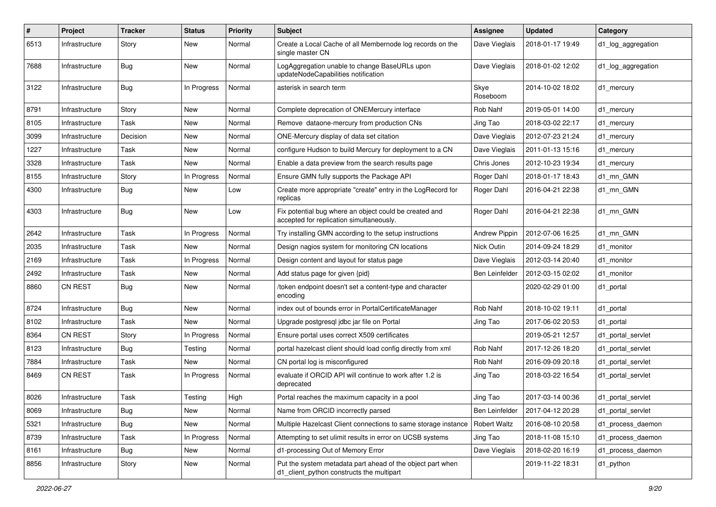| #    | Project        | <b>Tracker</b> | <b>Status</b> | <b>Priority</b> | Subject                                                                                                 | Assignee            | <b>Updated</b>   | Category           |
|------|----------------|----------------|---------------|-----------------|---------------------------------------------------------------------------------------------------------|---------------------|------------------|--------------------|
| 6513 | Infrastructure | Story          | New           | Normal          | Create a Local Cache of all Membernode log records on the<br>single master CN                           | Dave Vieglais       | 2018-01-17 19:49 | d1_log_aggregation |
| 7688 | Infrastructure | <b>Bug</b>     | New           | Normal          | LogAggregation unable to change BaseURLs upon<br>updateNodeCapabilities notification                    | Dave Vieglais       | 2018-01-02 12:02 | d1_log_aggregation |
| 3122 | Infrastructure | <b>Bug</b>     | In Progress   | Normal          | asterisk in search term                                                                                 | Skye<br>Roseboom    | 2014-10-02 18:02 | d1_mercury         |
| 8791 | Infrastructure | Story          | New           | Normal          | Complete deprecation of ONEMercury interface                                                            | Rob Nahf            | 2019-05-01 14:00 | d1_mercury         |
| 8105 | Infrastructure | Task           | New           | Normal          | Remove dataone-mercury from production CNs                                                              | Jing Tao            | 2018-03-02 22:17 | d1 mercury         |
| 3099 | Infrastructure | Decision       | New           | Normal          | ONE-Mercury display of data set citation                                                                | Dave Vieglais       | 2012-07-23 21:24 | d1_mercury         |
| 1227 | Infrastructure | Task           | New           | Normal          | configure Hudson to build Mercury for deployment to a CN                                                | Dave Vieglais       | 2011-01-13 15:16 | d1 mercury         |
| 3328 | Infrastructure | Task           | New           | Normal          | Enable a data preview from the search results page                                                      | Chris Jones         | 2012-10-23 19:34 | d1 mercury         |
| 8155 | Infrastructure | Story          | In Progress   | Normal          | Ensure GMN fully supports the Package API                                                               | Roger Dahl          | 2018-01-17 18:43 | d1 mn GMN          |
| 4300 | Infrastructure | <b>Bug</b>     | New           | Low             | Create more appropriate "create" entry in the LogRecord for<br>replicas                                 | Roger Dahl          | 2016-04-21 22:38 | d1 mn GMN          |
| 4303 | Infrastructure | <b>Bug</b>     | New           | Low             | Fix potential bug where an object could be created and<br>accepted for replication simultaneously.      | Roger Dahl          | 2016-04-21 22:38 | d1 mn GMN          |
| 2642 | Infrastructure | Task           | In Progress   | Normal          | Try installing GMN according to the setup instructions                                                  | Andrew Pippin       | 2012-07-06 16:25 | d1 mn GMN          |
| 2035 | Infrastructure | Task           | New           | Normal          | Design nagios system for monitoring CN locations                                                        | Nick Outin          | 2014-09-24 18:29 | d1 monitor         |
| 2169 | Infrastructure | Task           | In Progress   | Normal          | Design content and layout for status page                                                               | Dave Vieglais       | 2012-03-14 20:40 | d1 monitor         |
| 2492 | Infrastructure | Task           | New           | Normal          | Add status page for given {pid}                                                                         | Ben Leinfelder      | 2012-03-15 02:02 | d1 monitor         |
| 8860 | <b>CN REST</b> | <b>Bug</b>     | New           | Normal          | /token endpoint doesn't set a content-type and character<br>encoding                                    |                     | 2020-02-29 01:00 | d1_portal          |
| 8724 | Infrastructure | <b>Bug</b>     | New           | Normal          | index out of bounds error in PortalCertificateManager                                                   | Rob Nahf            | 2018-10-02 19:11 | d1_portal          |
| 8102 | Infrastructure | Task           | New           | Normal          | Upgrade postgresql jdbc jar file on Portal                                                              | Jing Tao            | 2017-06-02 20:53 | d1_portal          |
| 8364 | <b>CN REST</b> | Story          | In Progress   | Normal          | Ensure portal uses correct X509 certificates                                                            |                     | 2019-05-21 12:57 | d1_portal_servlet  |
| 8123 | Infrastructure | <b>Bug</b>     | Testing       | Normal          | portal hazelcast client should load config directly from xml                                            | Rob Nahf            | 2017-12-26 18:20 | d1 portal servlet  |
| 7884 | Infrastructure | Task           | New           | Normal          | CN portal log is misconfigured                                                                          | Rob Nahf            | 2016-09-09 20:18 | d1 portal servlet  |
| 8469 | <b>CN REST</b> | Task           | In Progress   | Normal          | evaluate if ORCID API will continue to work after 1.2 is<br>deprecated                                  | Jing Tao            | 2018-03-22 16:54 | d1 portal servlet  |
| 8026 | Infrastructure | Task           | Testing       | High            | Portal reaches the maximum capacity in a pool                                                           | Jing Tao            | 2017-03-14 00:36 | d1 portal servlet  |
| 8069 | Infrastructure | <b>Bug</b>     | New           | Normal          | Name from ORCID incorrectly parsed                                                                      | Ben Leinfelder      | 2017-04-12 20:28 | d1_portal_servlet  |
| 5321 | Infrastructure | Bug            | New           | Normal          | Multiple Hazelcast Client connections to same storage instance                                          | <b>Robert Waltz</b> | 2016-08-10 20:58 | d1_process_daemon  |
| 8739 | Infrastructure | Task           | In Progress   | Normal          | Attempting to set ulimit results in error on UCSB systems                                               | Jing Tao            | 2018-11-08 15:10 | d1_process_daemon  |
| 8161 | Infrastructure | <b>Bug</b>     | New           | Normal          | d1-processing Out of Memory Error                                                                       | Dave Vieglais       | 2018-02-20 16:19 | d1_process_daemon  |
| 8856 | Infrastructure | Story          | New           | Normal          | Put the system metadata part ahead of the object part when<br>d1_client_python constructs the multipart |                     | 2019-11-22 18:31 | d1_python          |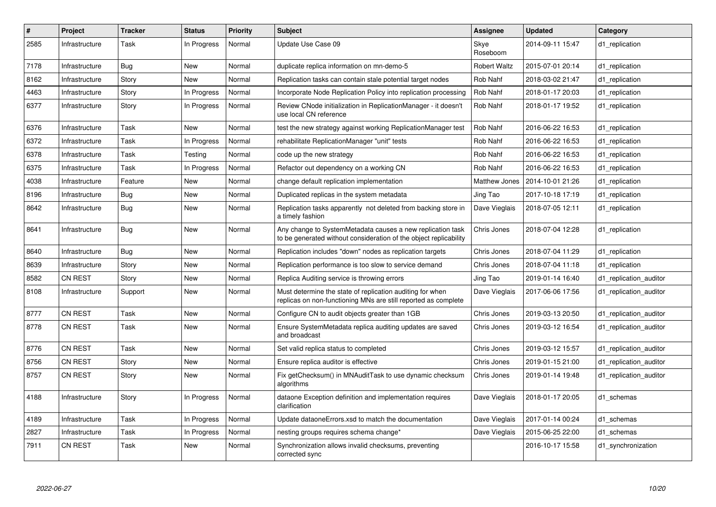| $\#$ | Project        | <b>Tracker</b> | <b>Status</b> | <b>Priority</b> | <b>Subject</b>                                                                                                                  | <b>Assignee</b>     | <b>Updated</b>   | Category               |
|------|----------------|----------------|---------------|-----------------|---------------------------------------------------------------------------------------------------------------------------------|---------------------|------------------|------------------------|
| 2585 | Infrastructure | Task           | In Progress   | Normal          | Update Use Case 09                                                                                                              | Skye<br>Roseboom    | 2014-09-11 15:47 | d1 replication         |
| 7178 | Infrastructure | Bug            | New           | Normal          | duplicate replica information on mn-demo-5                                                                                      | <b>Robert Waltz</b> | 2015-07-01 20:14 | d1 replication         |
| 8162 | Infrastructure | Story          | <b>New</b>    | Normal          | Replication tasks can contain stale potential target nodes                                                                      | Rob Nahf            | 2018-03-02 21:47 | d1 replication         |
| 4463 | Infrastructure | Story          | In Progress   | Normal          | Incorporate Node Replication Policy into replication processing                                                                 | Rob Nahf            | 2018-01-17 20:03 | d1 replication         |
| 6377 | Infrastructure | Story          | In Progress   | Normal          | Review CNode initialization in ReplicationManager - it doesn't<br>use local CN reference                                        | Rob Nahf            | 2018-01-17 19:52 | d1 replication         |
| 6376 | Infrastructure | Task           | <b>New</b>    | Normal          | test the new strategy against working ReplicationManager test                                                                   | <b>Rob Nahf</b>     | 2016-06-22 16:53 | d1 replication         |
| 6372 | Infrastructure | Task           | In Progress   | Normal          | rehabilitate ReplicationManager "unit" tests                                                                                    | Rob Nahf            | 2016-06-22 16:53 | d1_replication         |
| 6378 | Infrastructure | Task           | Testing       | Normal          | code up the new strategy                                                                                                        | Rob Nahf            | 2016-06-22 16:53 | d1_replication         |
| 6375 | Infrastructure | Task           | In Progress   | Normal          | Refactor out dependency on a working CN                                                                                         | Rob Nahf            | 2016-06-22 16:53 | d1 replication         |
| 4038 | Infrastructure | Feature        | New           | Normal          | change default replication implementation                                                                                       | Matthew Jones       | 2014-10-01 21:26 | d1_replication         |
| 8196 | Infrastructure | Bug            | New           | Normal          | Duplicated replicas in the system metadata                                                                                      | Jing Tao            | 2017-10-18 17:19 | d1 replication         |
| 8642 | Infrastructure | Bug            | New           | Normal          | Replication tasks apparently not deleted from backing store in<br>a timely fashion                                              | Dave Vieglais       | 2018-07-05 12:11 | d1 replication         |
| 8641 | Infrastructure | Bug            | New           | Normal          | Any change to SystemMetadata causes a new replication task<br>to be generated without consideration of the object replicability | Chris Jones         | 2018-07-04 12:28 | d1 replication         |
| 8640 | Infrastructure | Bug            | New           | Normal          | Replication includes "down" nodes as replication targets                                                                        | Chris Jones         | 2018-07-04 11:29 | d1 replication         |
| 8639 | Infrastructure | Story          | New           | Normal          | Replication performance is too slow to service demand                                                                           | Chris Jones         | 2018-07-04 11:18 | d1 replication         |
| 8582 | CN REST        | Story          | <b>New</b>    | Normal          | Replica Auditing service is throwing errors                                                                                     | Jing Tao            | 2019-01-14 16:40 | d1 replication auditor |
| 8108 | Infrastructure | Support        | New           | Normal          | Must determine the state of replication auditing for when<br>replicas on non-functioning MNs are still reported as complete     | Dave Vieglais       | 2017-06-06 17:56 | d1 replication auditor |
| 8777 | <b>CN REST</b> | Task           | New           | Normal          | Configure CN to audit objects greater than 1GB                                                                                  | Chris Jones         | 2019-03-13 20:50 | d1 replication auditor |
| 8778 | <b>CN REST</b> | Task           | New           | Normal          | Ensure SystemMetadata replica auditing updates are saved<br>and broadcast                                                       | Chris Jones         | 2019-03-12 16:54 | d1 replication auditor |
| 8776 | CN REST        | Task           | New           | Normal          | Set valid replica status to completed                                                                                           | Chris Jones         | 2019-03-12 15:57 | d1 replication auditor |
| 8756 | <b>CN REST</b> | Story          | <b>New</b>    | Normal          | Ensure replica auditor is effective                                                                                             | Chris Jones         | 2019-01-15 21:00 | d1_replication_auditor |
| 8757 | <b>CN REST</b> | Story          | New           | Normal          | Fix getChecksum() in MNAuditTask to use dynamic checksum<br>algorithms                                                          | Chris Jones         | 2019-01-14 19:48 | d1 replication auditor |
| 4188 | Infrastructure | Story          | In Progress   | Normal          | dataone Exception definition and implementation requires<br>clarification                                                       | Dave Vieglais       | 2018-01-17 20:05 | d1 schemas             |
| 4189 | Infrastructure | Task           | In Progress   | Normal          | Update dataone Errors xsd to match the documentation                                                                            | Dave Vieglais       | 2017-01-14 00:24 | d1_schemas             |
| 2827 | Infrastructure | Task           | In Progress   | Normal          | nesting groups requires schema change*                                                                                          | Dave Vieglais       | 2015-06-25 22:00 | d1 schemas             |
| 7911 | <b>CN REST</b> | Task           | New           | Normal          | Synchronization allows invalid checksums, preventing<br>corrected sync                                                          |                     | 2016-10-17 15:58 | d1 synchronization     |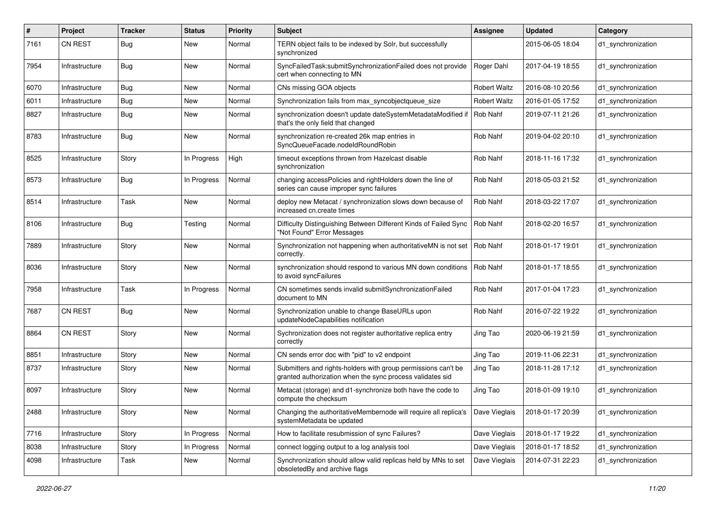| #    | Project        | <b>Tracker</b> | <b>Status</b> | <b>Priority</b> | <b>Subject</b>                                                                                                             | <b>Assignee</b>     | <b>Updated</b>   | Category           |
|------|----------------|----------------|---------------|-----------------|----------------------------------------------------------------------------------------------------------------------------|---------------------|------------------|--------------------|
| 7161 | <b>CN REST</b> | Bug            | New           | Normal          | TERN object fails to be indexed by Solr, but successfully<br>synchronized                                                  |                     | 2015-06-05 18:04 | d1_synchronization |
| 7954 | Infrastructure | Bug            | New           | Normal          | SyncFailedTask:submitSynchronizationFailed does not provide<br>cert when connecting to MN                                  | Roger Dahl          | 2017-04-19 18:55 | d1_synchronization |
| 6070 | Infrastructure | Bug            | <b>New</b>    | Normal          | CNs missing GOA objects                                                                                                    | Robert Waltz        | 2016-08-10 20:56 | d1_synchronization |
| 6011 | Infrastructure | <b>Bug</b>     | New           | Normal          | Synchronization fails from max_syncobjectqueue_size                                                                        | <b>Robert Waltz</b> | 2016-01-05 17:52 | d1 synchronization |
| 8827 | Infrastructure | <b>Bug</b>     | New           | Normal          | synchronization doesn't update dateSystemMetadataModified if<br>that's the only field that changed                         | Rob Nahf            | 2019-07-11 21:26 | d1_synchronization |
| 8783 | Infrastructure | Bug            | New           | Normal          | synchronization re-created 26k map entries in<br>SyncQueueFacade.nodeIdRoundRobin                                          | Rob Nahf            | 2019-04-02 20:10 | d1_synchronization |
| 8525 | Infrastructure | Story          | In Progress   | High            | timeout exceptions thrown from Hazelcast disable<br>synchronization                                                        | Rob Nahf            | 2018-11-16 17:32 | d1_synchronization |
| 8573 | Infrastructure | Bug            | In Progress   | Normal          | changing accessPolicies and rightHolders down the line of<br>series can cause improper sync failures                       | Rob Nahf            | 2018-05-03 21:52 | d1_synchronization |
| 8514 | Infrastructure | Task           | New           | Normal          | deploy new Metacat / synchronization slows down because of<br>increased cn.create times                                    | Rob Nahf            | 2018-03-22 17:07 | d1_synchronization |
| 8106 | Infrastructure | Bug            | Testing       | Normal          | Difficulty Distinguishing Between Different Kinds of Failed Sync<br>"Not Found" Error Messages                             | Rob Nahf            | 2018-02-20 16:57 | d1_synchronization |
| 7889 | Infrastructure | Story          | New           | Normal          | Synchronization not happening when authoritativeMN is not set<br>correctly.                                                | Rob Nahf            | 2018-01-17 19:01 | d1_synchronization |
| 8036 | Infrastructure | Story          | New           | Normal          | synchronization should respond to various MN down conditions<br>to avoid syncFailures                                      | Rob Nahf            | 2018-01-17 18:55 | d1_synchronization |
| 7958 | Infrastructure | Task           | In Progress   | Normal          | CN sometimes sends invalid submitSynchronizationFailed<br>document to MN                                                   | Rob Nahf            | 2017-01-04 17:23 | d1_synchronization |
| 7687 | <b>CN REST</b> | Bug            | New           | Normal          | Synchronization unable to change BaseURLs upon<br>updateNodeCapabilities notification                                      | Rob Nahf            | 2016-07-22 19:22 | d1_synchronization |
| 8864 | <b>CN REST</b> | Story          | New           | Normal          | Sychronization does not register authoritative replica entry<br>correctly                                                  | Jing Tao            | 2020-06-19 21:59 | d1_synchronization |
| 8851 | Infrastructure | Story          | New           | Normal          | CN sends error doc with "pid" to v2 endpoint                                                                               | Jing Tao            | 2019-11-06 22:31 | d1_synchronization |
| 8737 | Infrastructure | Story          | New           | Normal          | Submitters and rights-holders with group permissions can't be<br>granted authorization when the sync process validates sid | Jing Tao            | 2018-11-28 17:12 | d1_synchronization |
| 8097 | Infrastructure | Story          | New           | Normal          | Metacat (storage) and d1-synchronize both have the code to<br>compute the checksum                                         | Jing Tao            | 2018-01-09 19:10 | d1_synchronization |
| 2488 | Infrastructure | Story          | New           | Normal          | Changing the authoritativeMembernode will require all replica's   Dave Vieglais<br>systemMetadata be updated               |                     | 2018-01-17 20:39 | d1_synchronization |
| 7716 | Infrastructure | Story          | In Progress   | Normal          | How to facilitate resubmission of sync Failures?                                                                           | Dave Vieglais       | 2018-01-17 19:22 | d1_synchronization |
| 8038 | Infrastructure | Story          | In Progress   | Normal          | connect logging output to a log analysis tool                                                                              | Dave Vieglais       | 2018-01-17 18:52 | d1_synchronization |
| 4098 | Infrastructure | Task           | New           | Normal          | Synchronization should allow valid replicas held by MNs to set<br>obsoletedBy and archive flags                            | Dave Vieglais       | 2014-07-31 22:23 | d1_synchronization |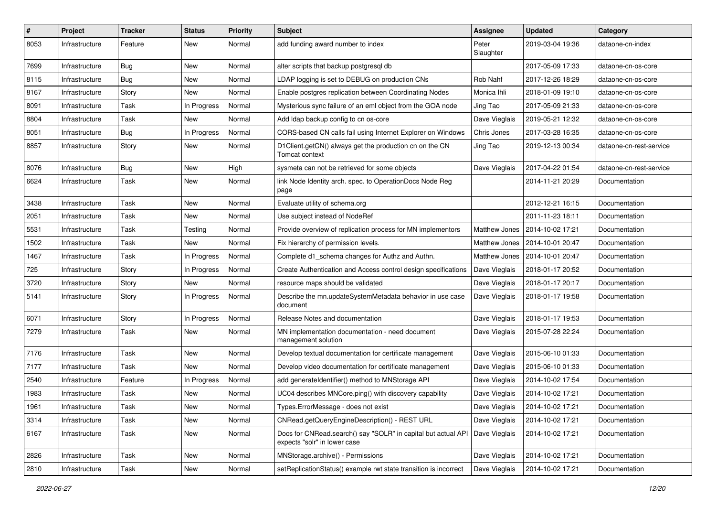| #    | Project        | <b>Tracker</b> | <b>Status</b> | <b>Priority</b> | <b>Subject</b>                                                                                | <b>Assignee</b>      | <b>Updated</b>   | Category                |
|------|----------------|----------------|---------------|-----------------|-----------------------------------------------------------------------------------------------|----------------------|------------------|-------------------------|
| 8053 | Infrastructure | Feature        | New           | Normal          | add funding award number to index                                                             | Peter<br>Slaughter   | 2019-03-04 19:36 | dataone-cn-index        |
| 7699 | Infrastructure | <b>Bug</b>     | New           | Normal          | alter scripts that backup postgresql db                                                       |                      | 2017-05-09 17:33 | dataone-cn-os-core      |
| 8115 | Infrastructure | Bug            | New           | Normal          | LDAP logging is set to DEBUG on production CNs                                                | Rob Nahf             | 2017-12-26 18:29 | dataone-cn-os-core      |
| 8167 | Infrastructure | Story          | New           | Normal          | Enable postgres replication between Coordinating Nodes                                        | Monica Ihli          | 2018-01-09 19:10 | dataone-cn-os-core      |
| 8091 | Infrastructure | Task           | In Progress   | Normal          | Mysterious sync failure of an eml object from the GOA node                                    | Jing Tao             | 2017-05-09 21:33 | dataone-cn-os-core      |
| 8804 | Infrastructure | Task           | New           | Normal          | Add Idap backup config to cn os-core                                                          | Dave Vieglais        | 2019-05-21 12:32 | dataone-cn-os-core      |
| 8051 | Infrastructure | Bug            | In Progress   | Normal          | CORS-based CN calls fail using Internet Explorer on Windows                                   | Chris Jones          | 2017-03-28 16:35 | dataone-cn-os-core      |
| 8857 | Infrastructure | Story          | New           | Normal          | D1Client.getCN() always get the production cn on the CN<br>Tomcat context                     | Jing Tao             | 2019-12-13 00:34 | dataone-cn-rest-service |
| 8076 | Infrastructure | <b>Bug</b>     | New           | High            | sysmeta can not be retrieved for some objects                                                 | Dave Vieglais        | 2017-04-22 01:54 | dataone-cn-rest-service |
| 6624 | Infrastructure | Task           | New           | Normal          | link Node Identity arch. spec. to OperationDocs Node Reg<br>page                              |                      | 2014-11-21 20:29 | Documentation           |
| 3438 | Infrastructure | Task           | New           | Normal          | Evaluate utility of schema.org                                                                |                      | 2012-12-21 16:15 | Documentation           |
| 2051 | Infrastructure | Task           | New           | Normal          | Use subject instead of NodeRef                                                                |                      | 2011-11-23 18:11 | Documentation           |
| 5531 | Infrastructure | Task           | Testing       | Normal          | Provide overview of replication process for MN implementors                                   | <b>Matthew Jones</b> | 2014-10-02 17:21 | Documentation           |
| 1502 | Infrastructure | Task           | New           | Normal          | Fix hierarchy of permission levels.                                                           | Matthew Jones        | 2014-10-01 20:47 | Documentation           |
| 1467 | Infrastructure | Task           | In Progress   | Normal          | Complete d1_schema changes for Authz and Authn.                                               | Matthew Jones        | 2014-10-01 20:47 | Documentation           |
| 725  | Infrastructure | Story          | In Progress   | Normal          | Create Authentication and Access control design specifications                                | Dave Vieglais        | 2018-01-17 20:52 | Documentation           |
| 3720 | Infrastructure | Story          | <b>New</b>    | Normal          | resource maps should be validated                                                             | Dave Vieglais        | 2018-01-17 20:17 | Documentation           |
| 5141 | Infrastructure | Story          | In Progress   | Normal          | Describe the mn.updateSystemMetadata behavior in use case<br>document                         | Dave Vieglais        | 2018-01-17 19:58 | Documentation           |
| 6071 | Infrastructure | Story          | In Progress   | Normal          | Release Notes and documentation                                                               | Dave Vieglais        | 2018-01-17 19:53 | Documentation           |
| 7279 | Infrastructure | Task           | New           | Normal          | MN implementation documentation - need document<br>management solution                        | Dave Vieglais        | 2015-07-28 22:24 | Documentation           |
| 7176 | Infrastructure | Task           | <b>New</b>    | Normal          | Develop textual documentation for certificate management                                      | Dave Vieglais        | 2015-06-10 01:33 | Documentation           |
| 7177 | Infrastructure | Task           | New           | Normal          | Develop video documentation for certificate management                                        | Dave Vieglais        | 2015-06-10 01:33 | Documentation           |
| 2540 | Infrastructure | Feature        | In Progress   | Normal          | add generateIdentifier() method to MNStorage API                                              | Dave Vieglais        | 2014-10-02 17:54 | Documentation           |
| 1983 | Infrastructure | Task           | New           | Normal          | UC04 describes MNCore.ping() with discovery capability                                        | Dave Vieglais        | 2014-10-02 17:21 | Documentation           |
| 1961 | Infrastructure | Task           | New           | Normal          | Types.ErrorMessage - does not exist                                                           | Dave Vieglais        | 2014-10-02 17:21 | Documentation           |
| 3314 | Infrastructure | Task           | New           | Normal          | CNRead.getQueryEngineDescription() - REST URL                                                 | Dave Vieglais        | 2014-10-02 17:21 | Documentation           |
| 6167 | Infrastructure | Task           | New           | Normal          | Docs for CNRead.search() say "SOLR" in capital but actual API<br>expects "solr" in lower case | Dave Vieglais        | 2014-10-02 17:21 | Documentation           |
| 2826 | Infrastructure | Task           | New           | Normal          | MNStorage.archive() - Permissions                                                             | Dave Vieglais        | 2014-10-02 17:21 | Documentation           |
| 2810 | Infrastructure | Task           | New           | Normal          | setReplicationStatus() example rwt state transition is incorrect                              | Dave Vieglais        | 2014-10-02 17:21 | Documentation           |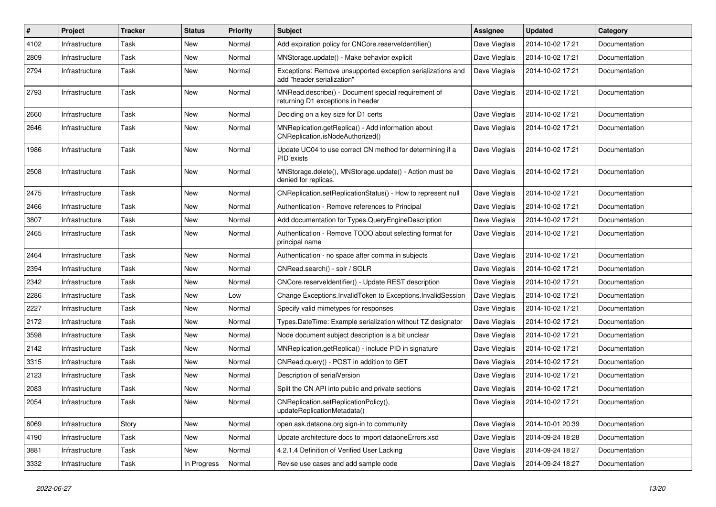| #    | Project        | <b>Tracker</b> | <b>Status</b> | <b>Priority</b> | Subject                                                                                   | <b>Assignee</b> | <b>Updated</b>   | Category             |
|------|----------------|----------------|---------------|-----------------|-------------------------------------------------------------------------------------------|-----------------|------------------|----------------------|
| 4102 | Infrastructure | Task           | New           | Normal          | Add expiration policy for CNCore.reserveldentifier()                                      | Dave Vieglais   | 2014-10-02 17:21 | Documentation        |
| 2809 | Infrastructure | Task           | New           | Normal          | MNStorage.update() - Make behavior explicit                                               | Dave Vieglais   | 2014-10-02 17:21 | Documentation        |
| 2794 | Infrastructure | Task           | New           | Normal          | Exceptions: Remove unsupported exception serializations and<br>add "header serialization" | Dave Vieglais   | 2014-10-02 17:21 | <b>Documentation</b> |
| 2793 | Infrastructure | Task           | New           | Normal          | MNRead.describe() - Document special requirement of<br>returning D1 exceptions in header  | Dave Vieglais   | 2014-10-02 17:21 | Documentation        |
| 2660 | Infrastructure | Task           | New           | Normal          | Deciding on a key size for D1 certs                                                       | Dave Vieglais   | 2014-10-02 17:21 | Documentation        |
| 2646 | Infrastructure | Task           | New           | Normal          | MNReplication.getReplica() - Add information about<br>CNReplication.isNodeAuthorized()    | Dave Vieglais   | 2014-10-02 17:21 | Documentation        |
| 1986 | Infrastructure | Task           | New           | Normal          | Update UC04 to use correct CN method for determining if a<br>PID exists                   | Dave Vieglais   | 2014-10-02 17:21 | Documentation        |
| 2508 | Infrastructure | Task           | New           | Normal          | MNStorage.delete(), MNStorage.update() - Action must be<br>denied for replicas.           | Dave Vieglais   | 2014-10-02 17:21 | Documentation        |
| 2475 | Infrastructure | Task           | New           | Normal          | CNReplication.setReplicationStatus() - How to represent null                              | Dave Vieglais   | 2014-10-02 17:21 | Documentation        |
| 2466 | Infrastructure | Task           | New           | Normal          | Authentication - Remove references to Principal                                           | Dave Vieglais   | 2014-10-02 17:21 | Documentation        |
| 3807 | Infrastructure | Task           | New           | Normal          | Add documentation for Types.QueryEngineDescription                                        | Dave Vieglais   | 2014-10-02 17:21 | Documentation        |
| 2465 | Infrastructure | Task           | New           | Normal          | Authentication - Remove TODO about selecting format for<br>principal name                 | Dave Vieglais   | 2014-10-02 17:21 | Documentation        |
| 2464 | Infrastructure | Task           | New           | Normal          | Authentication - no space after comma in subjects                                         | Dave Vieglais   | 2014-10-02 17:21 | Documentation        |
| 2394 | Infrastructure | Task           | New           | Normal          | CNRead.search() - solr / SOLR                                                             | Dave Vieglais   | 2014-10-02 17:21 | Documentation        |
| 2342 | Infrastructure | Task           | New           | Normal          | CNCore.reserveldentifier() - Update REST description                                      | Dave Vieglais   | 2014-10-02 17:21 | Documentation        |
| 2286 | Infrastructure | Task           | New           | Low             | Change Exceptions.InvalidToken to Exceptions.InvalidSession                               | Dave Vieglais   | 2014-10-02 17:21 | Documentation        |
| 2227 | Infrastructure | Task           | New           | Normal          | Specify valid mimetypes for responses                                                     | Dave Vieglais   | 2014-10-02 17:21 | Documentation        |
| 2172 | Infrastructure | Task           | New           | Normal          | Types.DateTime: Example serialization without TZ designator                               | Dave Vieglais   | 2014-10-02 17:21 | Documentation        |
| 3598 | Infrastructure | Task           | New           | Normal          | Node document subject description is a bit unclear                                        | Dave Vieglais   | 2014-10-02 17:21 | Documentation        |
| 2142 | Infrastructure | Task           | New           | Normal          | MNReplication.getReplica() - include PID in signature                                     | Dave Vieglais   | 2014-10-02 17:21 | Documentation        |
| 3315 | Infrastructure | Task           | New           | Normal          | CNRead.query() - POST in addition to GET                                                  | Dave Vieglais   | 2014-10-02 17:21 | <b>Documentation</b> |
| 2123 | Infrastructure | Task           | New           | Normal          | Description of serialVersion                                                              | Dave Vieglais   | 2014-10-02 17:21 | Documentation        |
| 2083 | Infrastructure | Task           | New           | Normal          | Split the CN API into public and private sections                                         | Dave Vieglais   | 2014-10-02 17:21 | Documentation        |
| 2054 | Infrastructure | Task           | New           | Normal          | CNReplication.setReplicationPolicy(),<br>updateReplicationMetadata()                      | Dave Vieglais   | 2014-10-02 17:21 | Documentation        |
| 6069 | Infrastructure | Story          | New           | Normal          | open ask.dataone.org sign-in to community                                                 | Dave Vieglais   | 2014-10-01 20:39 | Documentation        |
| 4190 | Infrastructure | Task           | New           | Normal          | Update architecture docs to import dataoneErrors.xsd                                      | Dave Vieglais   | 2014-09-24 18:28 | Documentation        |
| 3881 | Infrastructure | Task           | New           | Normal          | 4.2.1.4 Definition of Verified User Lacking                                               | Dave Vieglais   | 2014-09-24 18:27 | Documentation        |
| 3332 | Infrastructure | Task           | In Progress   | Normal          | Revise use cases and add sample code                                                      | Dave Vieglais   | 2014-09-24 18:27 | Documentation        |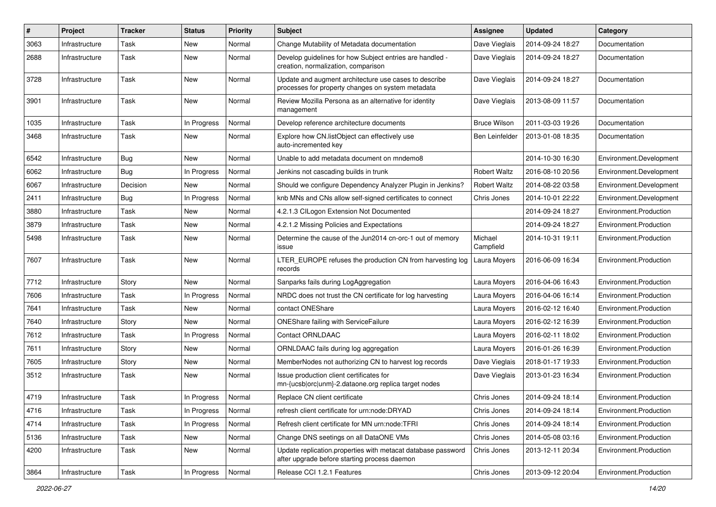| #    | Project        | <b>Tracker</b> | <b>Status</b> | <b>Priority</b> | <b>Subject</b>                                                                                               | <b>Assignee</b>      | <b>Updated</b>   | Category                |
|------|----------------|----------------|---------------|-----------------|--------------------------------------------------------------------------------------------------------------|----------------------|------------------|-------------------------|
| 3063 | Infrastructure | Task           | New           | Normal          | Change Mutability of Metadata documentation                                                                  | Dave Vieglais        | 2014-09-24 18:27 | Documentation           |
| 2688 | Infrastructure | Task           | New           | Normal          | Develop guidelines for how Subject entries are handled -<br>creation, normalization, comparison              | Dave Vieglais        | 2014-09-24 18:27 | Documentation           |
| 3728 | Infrastructure | Task           | New           | Normal          | Update and augment architecture use cases to describe<br>processes for property changes on system metadata   | Dave Vieglais        | 2014-09-24 18:27 | Documentation           |
| 3901 | Infrastructure | Task           | New           | Normal          | Review Mozilla Persona as an alternative for identity<br>management                                          | Dave Vieglais        | 2013-08-09 11:57 | Documentation           |
| 1035 | Infrastructure | Task           | In Progress   | Normal          | Develop reference architecture documents                                                                     | <b>Bruce Wilson</b>  | 2011-03-03 19:26 | Documentation           |
| 3468 | Infrastructure | Task           | New           | Normal          | Explore how CN.listObject can effectively use<br>auto-incremented key                                        | Ben Leinfelder       | 2013-01-08 18:35 | Documentation           |
| 6542 | Infrastructure | Bug            | New           | Normal          | Unable to add metadata document on mndemo8                                                                   |                      | 2014-10-30 16:30 | Environment.Development |
| 6062 | Infrastructure | Bug            | In Progress   | Normal          | Jenkins not cascading builds in trunk                                                                        | <b>Robert Waltz</b>  | 2016-08-10 20:56 | Environment.Development |
| 6067 | Infrastructure | Decision       | New           | Normal          | Should we configure Dependency Analyzer Plugin in Jenkins?                                                   | <b>Robert Waltz</b>  | 2014-08-22 03:58 | Environment.Development |
| 2411 | Infrastructure | Bug            | In Progress   | Normal          | knb MNs and CNs allow self-signed certificates to connect                                                    | Chris Jones          | 2014-10-01 22:22 | Environment.Development |
| 3880 | Infrastructure | Task           | <b>New</b>    | Normal          | 4.2.1.3 CILogon Extension Not Documented                                                                     |                      | 2014-09-24 18:27 | Environment.Production  |
| 3879 | Infrastructure | Task           | New           | Normal          | 4.2.1.2 Missing Policies and Expectations                                                                    |                      | 2014-09-24 18:27 | Environment.Production  |
| 5498 | Infrastructure | Task           | New           | Normal          | Determine the cause of the Jun2014 cn-orc-1 out of memory<br>issue                                           | Michael<br>Campfield | 2014-10-31 19:11 | Environment.Production  |
| 7607 | Infrastructure | Task           | <b>New</b>    | Normal          | LTER_EUROPE refuses the production CN from harvesting log<br>records                                         | Laura Moyers         | 2016-06-09 16:34 | Environment.Production  |
| 7712 | Infrastructure | Story          | <b>New</b>    | Normal          | Sanparks fails during LogAggregation                                                                         | Laura Moyers         | 2016-04-06 16:43 | Environment.Production  |
| 7606 | Infrastructure | Task           | In Progress   | Normal          | NRDC does not trust the CN certificate for log harvesting                                                    | Laura Moyers         | 2016-04-06 16:14 | Environment.Production  |
| 7641 | Infrastructure | Task           | New           | Normal          | contact ONEShare                                                                                             | Laura Moyers         | 2016-02-12 16:40 | Environment.Production  |
| 7640 | Infrastructure | Story          | New           | Normal          | <b>ONEShare failing with ServiceFailure</b>                                                                  | Laura Moyers         | 2016-02-12 16:39 | Environment.Production  |
| 7612 | Infrastructure | Task           | In Progress   | Normal          | <b>Contact ORNLDAAC</b>                                                                                      | Laura Moyers         | 2016-02-11 18:02 | Environment.Production  |
| 7611 | Infrastructure | Story          | New           | Normal          | ORNLDAAC fails during log aggregation                                                                        | Laura Moyers         | 2016-01-26 16:39 | Environment.Production  |
| 7605 | Infrastructure | Story          | New           | Normal          | MemberNodes not authorizing CN to harvest log records                                                        | Dave Vieglais        | 2018-01-17 19:33 | Environment.Production  |
| 3512 | Infrastructure | Task           | New           | Normal          | Issue production client certificates for<br>mn-{ucsb orc unm}-2.dataone.org replica target nodes             | Dave Vieglais        | 2013-01-23 16:34 | Environment.Production  |
| 4719 | Infrastructure | Task           | In Progress   | Normal          | Replace CN client certificate                                                                                | Chris Jones          | 2014-09-24 18:14 | Environment.Production  |
| 4716 | Infrastructure | Task           | In Progress   | Normal          | refresh client certificate for urn:node:DRYAD                                                                | Chris Jones          | 2014-09-24 18:14 | Environment.Production  |
| 4714 | Infrastructure | Task           | In Progress   | Normal          | Refresh client certificate for MN urn:node:TFRI                                                              | Chris Jones          | 2014-09-24 18:14 | Environment.Production  |
| 5136 | Infrastructure | Task           | New           | Normal          | Change DNS seetings on all DataONE VMs                                                                       | Chris Jones          | 2014-05-08 03:16 | Environment.Production  |
| 4200 | Infrastructure | Task           | New           | Normal          | Update replication.properties with metacat database password<br>after upgrade before starting process daemon | Chris Jones          | 2013-12-11 20:34 | Environment.Production  |
| 3864 | Infrastructure | Task           | In Progress   | Normal          | Release CCI 1.2.1 Features                                                                                   | Chris Jones          | 2013-09-12 20:04 | Environment.Production  |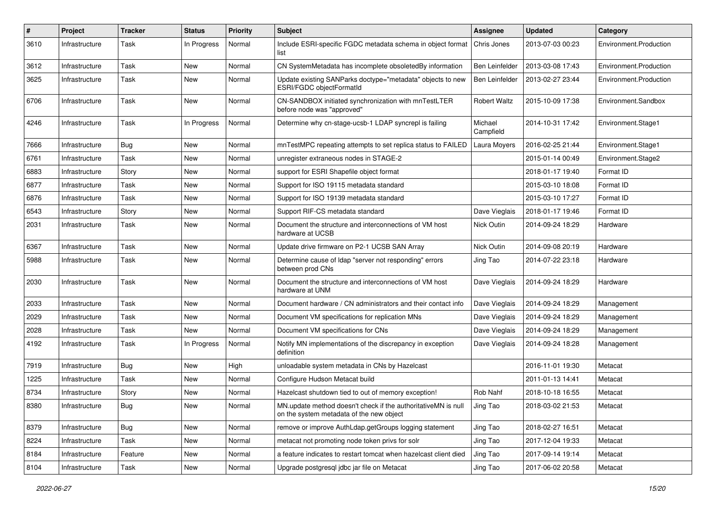| #    | Project        | <b>Tracker</b> | <b>Status</b> | <b>Priority</b> | Subject                                                                                                            | Assignee              | <b>Updated</b>   | Category               |
|------|----------------|----------------|---------------|-----------------|--------------------------------------------------------------------------------------------------------------------|-----------------------|------------------|------------------------|
| 3610 | Infrastructure | Task           | In Progress   | Normal          | Include ESRI-specific FGDC metadata schema in object format<br>list                                                | Chris Jones           | 2013-07-03 00:23 | Environment.Production |
| 3612 | Infrastructure | Task           | New           | Normal          | CN SystemMetadata has incomplete obsoletedBy information                                                           | <b>Ben Leinfelder</b> | 2013-03-08 17:43 | Environment.Production |
| 3625 | Infrastructure | Task           | New           | Normal          | Update existing SANParks doctype="metadata" objects to new<br>ESRI/FGDC objectFormatId                             | Ben Leinfelder        | 2013-02-27 23:44 | Environment.Production |
| 6706 | Infrastructure | Task           | New           | Normal          | CN-SANDBOX initiated synchronization with mnTestLTER<br>before node was "approved"                                 | Robert Waltz          | 2015-10-09 17:38 | Environment.Sandbox    |
| 4246 | Infrastructure | Task           | In Progress   | Normal          | Determine why cn-stage-ucsb-1 LDAP syncrepl is failing                                                             | Michael<br>Campfield  | 2014-10-31 17:42 | Environment.Stage1     |
| 7666 | Infrastructure | <b>Bug</b>     | New           | Normal          | mnTestMPC repeating attempts to set replica status to FAILED                                                       | Laura Moyers          | 2016-02-25 21:44 | Environment.Stage1     |
| 6761 | Infrastructure | Task           | New           | Normal          | unregister extraneous nodes in STAGE-2                                                                             |                       | 2015-01-14 00:49 | Environment.Stage2     |
| 6883 | Infrastructure | Story          | New           | Normal          | support for ESRI Shapefile object format                                                                           |                       | 2018-01-17 19:40 | Format ID              |
| 6877 | Infrastructure | Task           | New           | Normal          | Support for ISO 19115 metadata standard                                                                            |                       | 2015-03-10 18:08 | Format ID              |
| 6876 | Infrastructure | Task           | New           | Normal          | Support for ISO 19139 metadata standard                                                                            |                       | 2015-03-10 17:27 | Format ID              |
| 6543 | Infrastructure | Story          | New           | Normal          | Support RIF-CS metadata standard                                                                                   | Dave Vieglais         | 2018-01-17 19:46 | Format ID              |
| 2031 | Infrastructure | Task           | New           | Normal          | Document the structure and interconnections of VM host<br>hardware at UCSB                                         | Nick Outin            | 2014-09-24 18:29 | Hardware               |
| 6367 | Infrastructure | Task           | New           | Normal          | Update drive firmware on P2-1 UCSB SAN Array                                                                       | Nick Outin            | 2014-09-08 20:19 | Hardware               |
| 5988 | Infrastructure | Task           | New           | Normal          | Determine cause of Idap "server not responding" errors<br>between prod CNs                                         | Jing Tao              | 2014-07-22 23:18 | Hardware               |
| 2030 | Infrastructure | Task           | <b>New</b>    | Normal          | Document the structure and interconnections of VM host<br>hardware at UNM                                          | Dave Vieglais         | 2014-09-24 18:29 | Hardware               |
| 2033 | Infrastructure | Task           | New           | Normal          | Document hardware / CN administrators and their contact info                                                       | Dave Vieglais         | 2014-09-24 18:29 | Management             |
| 2029 | Infrastructure | Task           | New           | Normal          | Document VM specifications for replication MNs                                                                     | Dave Vieglais         | 2014-09-24 18:29 | Management             |
| 2028 | Infrastructure | Task           | New           | Normal          | Document VM specifications for CNs                                                                                 | Dave Vieglais         | 2014-09-24 18:29 | Management             |
| 4192 | Infrastructure | Task           | In Progress   | Normal          | Notify MN implementations of the discrepancy in exception<br>definition                                            | Dave Vieglais         | 2014-09-24 18:28 | Management             |
| 7919 | Infrastructure | <b>Bug</b>     | New           | High            | unloadable system metadata in CNs by Hazelcast                                                                     |                       | 2016-11-01 19:30 | Metacat                |
| 1225 | Infrastructure | Task           | New           | Normal          | Configure Hudson Metacat build                                                                                     |                       | 2011-01-13 14:41 | Metacat                |
| 8734 | Infrastructure | Story          | New           | Normal          | Hazelcast shutdown tied to out of memory exception!                                                                | Rob Nahf              | 2018-10-18 16:55 | Metacat                |
| 8380 | Infrastructure | <b>Bug</b>     | New           | Normal          | MN.update method doesn't check if the authoritativeMN is null Jing Tao<br>on the system metadata of the new object |                       | 2018-03-02 21:53 | Metacat                |
| 8379 | Infrastructure | Bug            | New           | Normal          | remove or improve AuthLdap.getGroups logging statement                                                             | Jing Tao              | 2018-02-27 16:51 | Metacat                |
| 8224 | Infrastructure | Task           | New           | Normal          | metacat not promoting node token privs for solr                                                                    | Jing Tao              | 2017-12-04 19:33 | Metacat                |
| 8184 | Infrastructure | Feature        | New           | Normal          | a feature indicates to restart tomcat when hazelcast client died                                                   | Jing Tao              | 2017-09-14 19:14 | Metacat                |
| 8104 | Infrastructure | Task           | New           | Normal          | Upgrade postgresql jdbc jar file on Metacat                                                                        | Jing Tao              | 2017-06-02 20:58 | Metacat                |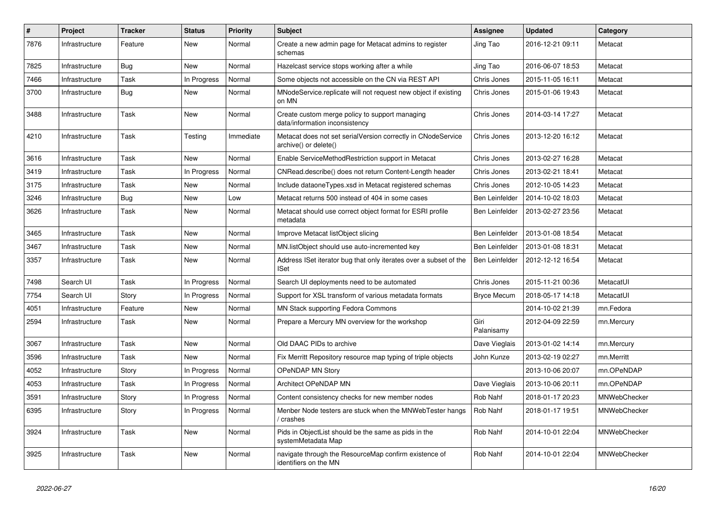| $\#$ | Project        | <b>Tracker</b> | <b>Status</b> | <b>Priority</b> | <b>Subject</b>                                                                        | Assignee           | <b>Updated</b>   | Category     |
|------|----------------|----------------|---------------|-----------------|---------------------------------------------------------------------------------------|--------------------|------------------|--------------|
| 7876 | Infrastructure | Feature        | New           | Normal          | Create a new admin page for Metacat admins to register<br>schemas                     | Jing Tao           | 2016-12-21 09:11 | Metacat      |
| 7825 | Infrastructure | <b>Bug</b>     | <b>New</b>    | Normal          | Hazelcast service stops working after a while                                         | Jing Tao           | 2016-06-07 18:53 | Metacat      |
| 7466 | Infrastructure | Task           | In Progress   | Normal          | Some objects not accessible on the CN via REST API                                    | Chris Jones        | 2015-11-05 16:11 | Metacat      |
| 3700 | Infrastructure | <b>Bug</b>     | New           | Normal          | MNodeService.replicate will not request new object if existing<br>on MN               | Chris Jones        | 2015-01-06 19:43 | Metacat      |
| 3488 | Infrastructure | Task           | New           | Normal          | Create custom merge policy to support managing<br>data/information inconsistency      | Chris Jones        | 2014-03-14 17:27 | Metacat      |
| 4210 | Infrastructure | Task           | Testing       | Immediate       | Metacat does not set serialVersion correctly in CNodeService<br>archive() or delete() | Chris Jones        | 2013-12-20 16:12 | Metacat      |
| 3616 | Infrastructure | Task           | <b>New</b>    | Normal          | Enable ServiceMethodRestriction support in Metacat                                    | Chris Jones        | 2013-02-27 16:28 | Metacat      |
| 3419 | Infrastructure | Task           | In Progress   | Normal          | CNRead.describe() does not return Content-Length header                               | Chris Jones        | 2013-02-21 18:41 | Metacat      |
| 3175 | Infrastructure | Task           | New           | Normal          | Include dataoneTypes.xsd in Metacat registered schemas                                | Chris Jones        | 2012-10-05 14:23 | Metacat      |
| 3246 | Infrastructure | <b>Bug</b>     | <b>New</b>    | Low             | Metacat returns 500 instead of 404 in some cases                                      | Ben Leinfelder     | 2014-10-02 18:03 | Metacat      |
| 3626 | Infrastructure | Task           | New           | Normal          | Metacat should use correct object format for ESRI profile<br>metadata                 | Ben Leinfelder     | 2013-02-27 23:56 | Metacat      |
| 3465 | Infrastructure | Task           | New           | Normal          | Improve Metacat listObject slicing                                                    | Ben Leinfelder     | 2013-01-08 18:54 | Metacat      |
| 3467 | Infrastructure | Task           | New           | Normal          | MN.listObject should use auto-incremented key                                         | Ben Leinfelder     | 2013-01-08 18:31 | Metacat      |
| 3357 | Infrastructure | Task           | New           | Normal          | Address ISet iterator bug that only iterates over a subset of the<br><b>ISet</b>      | Ben Leinfelder     | 2012-12-12 16:54 | Metacat      |
| 7498 | Search UI      | Task           | In Progress   | Normal          | Search UI deployments need to be automated                                            | Chris Jones        | 2015-11-21 00:36 | MetacatUI    |
| 7754 | Search UI      | Story          | In Progress   | Normal          | Support for XSL transform of various metadata formats                                 | <b>Bryce Mecum</b> | 2018-05-17 14:18 | MetacatUI    |
| 4051 | Infrastructure | Feature        | New           | Normal          | MN Stack supporting Fedora Commons                                                    |                    | 2014-10-02 21:39 | mn.Fedora    |
| 2594 | Infrastructure | Task           | New           | Normal          | Prepare a Mercury MN overview for the workshop                                        | Giri<br>Palanisamy | 2012-04-09 22:59 | mn.Mercury   |
| 3067 | Infrastructure | Task           | New           | Normal          | Old DAAC PIDs to archive                                                              | Dave Vieglais      | 2013-01-02 14:14 | mn.Mercury   |
| 3596 | Infrastructure | Task           | New           | Normal          | Fix Merritt Repository resource map typing of triple objects                          | John Kunze         | 2013-02-19 02:27 | mn.Merritt   |
| 4052 | Infrastructure | Story          | In Progress   | Normal          | OPeNDAP MN Story                                                                      |                    | 2013-10-06 20:07 | mn.OPeNDAP   |
| 4053 | Infrastructure | Task           | In Progress   | Normal          | Architect OPeNDAP MN                                                                  | Dave Vieglais      | 2013-10-06 20:11 | mn.OPeNDAP   |
| 3591 | Infrastructure | Story          | In Progress   | Normal          | Content consistency checks for new member nodes                                       | Rob Nahf           | 2018-01-17 20:23 | MNWebChecker |
| 6395 | Infrastructure | Story          | In Progress   | Normal          | Menber Node testers are stuck when the MNWebTester hangs<br>crashes                   | Rob Nahf           | 2018-01-17 19:51 | MNWebChecker |
| 3924 | Infrastructure | Task           | <b>New</b>    | Normal          | Pids in ObjectList should be the same as pids in the<br>systemMetadata Map            | Rob Nahf           | 2014-10-01 22:04 | MNWebChecker |
| 3925 | Infrastructure | Task           | New           | Normal          | navigate through the ResourceMap confirm existence of<br>identifiers on the MN        | Rob Nahf           | 2014-10-01 22:04 | MNWebChecker |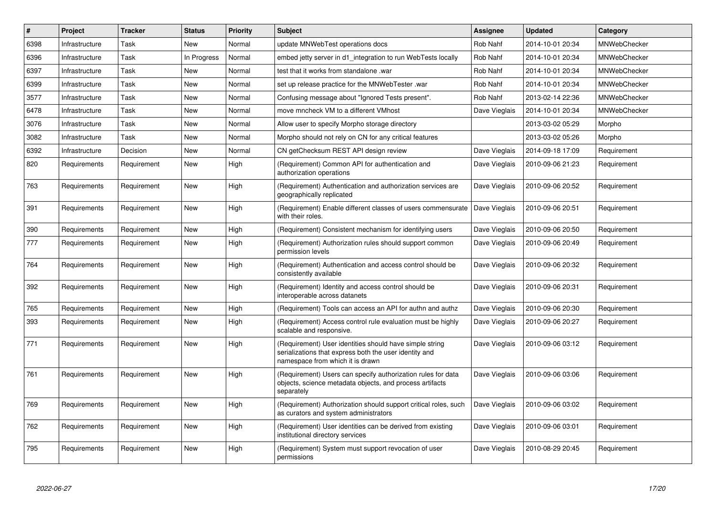| #    | Project        | <b>Tracker</b> | <b>Status</b> | <b>Priority</b> | <b>Subject</b>                                                                                                                                        | <b>Assignee</b> | <b>Updated</b>   | Category            |
|------|----------------|----------------|---------------|-----------------|-------------------------------------------------------------------------------------------------------------------------------------------------------|-----------------|------------------|---------------------|
| 6398 | Infrastructure | Task           | New           | Normal          | update MNWebTest operations docs                                                                                                                      | <b>Rob Nahf</b> | 2014-10-01 20:34 | MNWebChecker        |
| 6396 | Infrastructure | Task           | In Progress   | Normal          | embed jetty server in d1_integration to run WebTests locally                                                                                          | Rob Nahf        | 2014-10-01 20:34 | MNWebChecker        |
| 6397 | Infrastructure | Task           | New           | Normal          | test that it works from standalone .war                                                                                                               | Rob Nahf        | 2014-10-01 20:34 | <b>MNWebChecker</b> |
| 6399 | Infrastructure | Task           | New           | Normal          | set up release practice for the MNWebTester .war                                                                                                      | Rob Nahf        | 2014-10-01 20:34 | <b>MNWebChecker</b> |
| 3577 | Infrastructure | Task           | New           | Normal          | Confusing message about "Ignored Tests present".                                                                                                      | Rob Nahf        | 2013-02-14 22:36 | <b>MNWebChecker</b> |
| 6478 | Infrastructure | Task           | New           | Normal          | move mncheck VM to a different VMhost                                                                                                                 | Dave Vieglais   | 2014-10-01 20:34 | MNWebChecker        |
| 3076 | Infrastructure | Task           | New           | Normal          | Allow user to specify Morpho storage directory                                                                                                        |                 | 2013-03-02 05:29 | Morpho              |
| 3082 | Infrastructure | Task           | New           | Normal          | Morpho should not rely on CN for any critical features                                                                                                |                 | 2013-03-02 05:26 | Morpho              |
| 6392 | Infrastructure | Decision       | New           | Normal          | CN getChecksum REST API design review                                                                                                                 | Dave Vieglais   | 2014-09-18 17:09 | Requirement         |
| 820  | Requirements   | Requirement    | New           | High            | (Requirement) Common API for authentication and<br>authorization operations                                                                           | Dave Vieglais   | 2010-09-06 21:23 | Requirement         |
| 763  | Requirements   | Requirement    | New           | High            | (Requirement) Authentication and authorization services are<br>geographically replicated                                                              | Dave Vieglais   | 2010-09-06 20:52 | Requirement         |
| 391  | Requirements   | Requirement    | New           | High            | (Requirement) Enable different classes of users commensurate<br>with their roles.                                                                     | Dave Vieglais   | 2010-09-06 20:51 | Requirement         |
| 390  | Requirements   | Requirement    | New           | High            | (Requirement) Consistent mechanism for identifying users                                                                                              | Dave Vieglais   | 2010-09-06 20:50 | Requirement         |
| 777  | Requirements   | Requirement    | New           | High            | (Requirement) Authorization rules should support common<br>permission levels                                                                          | Dave Vieglais   | 2010-09-06 20:49 | Requirement         |
| 764  | Requirements   | Requirement    | New           | High            | (Requirement) Authentication and access control should be<br>consistently available                                                                   | Dave Vieglais   | 2010-09-06 20:32 | Requirement         |
| 392  | Requirements   | Requirement    | <b>New</b>    | High            | (Requirement) Identity and access control should be<br>interoperable across datanets                                                                  | Dave Vieglais   | 2010-09-06 20:31 | Requirement         |
| 765  | Requirements   | Requirement    | New           | High            | (Requirement) Tools can access an API for authn and authz                                                                                             | Dave Vieglais   | 2010-09-06 20:30 | Requirement         |
| 393  | Requirements   | Requirement    | New           | High            | (Requirement) Access control rule evaluation must be highly<br>scalable and responsive.                                                               | Dave Vieglais   | 2010-09-06 20:27 | Requirement         |
| 771  | Requirements   | Requirement    | <b>New</b>    | High            | (Requirement) User identities should have simple string<br>serializations that express both the user identity and<br>namespace from which it is drawn | Dave Vieglais   | 2010-09-06 03:12 | Requirement         |
| 761  | Requirements   | Requirement    | New           | High            | (Requirement) Users can specify authorization rules for data<br>objects, science metadata objects, and process artifacts<br>separately                | Dave Vieglais   | 2010-09-06 03:06 | Requirement         |
| 769  | Requirements   | Requirement    | <b>New</b>    | High            | (Requirement) Authorization should support critical roles, such<br>as curators and system administrators                                              | Dave Vieglais   | 2010-09-06 03:02 | Requirement         |
| 762  | Requirements   | Requirement    | <b>New</b>    | High            | (Requirement) User identities can be derived from existing<br>institutional directory services                                                        | Dave Vieglais   | 2010-09-06 03:01 | Requirement         |
| 795  | Requirements   | Requirement    | <b>New</b>    | High            | (Requirement) System must support revocation of user<br>permissions                                                                                   | Dave Vieglais   | 2010-08-29 20:45 | Requirement         |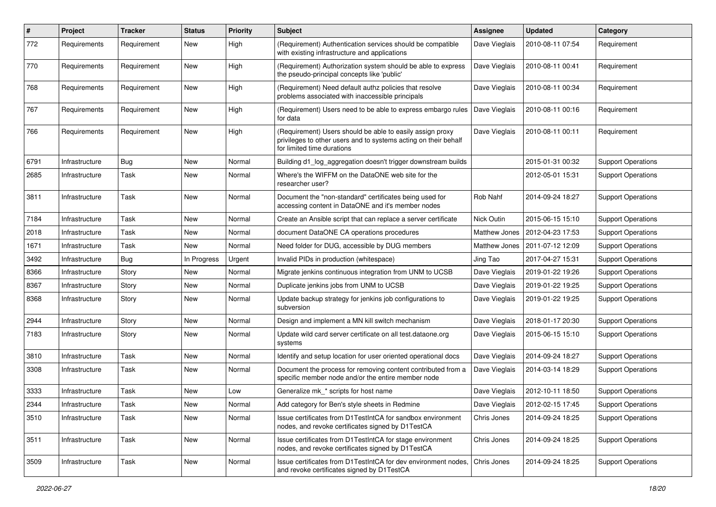| #    | Project        | <b>Tracker</b> | <b>Status</b> | <b>Priority</b> | <b>Subject</b>                                                                                                                                             | <b>Assignee</b> | <b>Updated</b>   | Category                  |
|------|----------------|----------------|---------------|-----------------|------------------------------------------------------------------------------------------------------------------------------------------------------------|-----------------|------------------|---------------------------|
| 772  | Requirements   | Requirement    | New           | High            | (Requirement) Authentication services should be compatible<br>with existing infrastructure and applications                                                | Dave Vieglais   | 2010-08-11 07:54 | Requirement               |
| 770  | Requirements   | Requirement    | New           | High            | (Requirement) Authorization system should be able to express<br>the pseudo-principal concepts like 'public'                                                | Dave Vieglais   | 2010-08-11 00:41 | Requirement               |
| 768  | Requirements   | Requirement    | <b>New</b>    | High            | (Requirement) Need default authz policies that resolve<br>problems associated with inaccessible principals                                                 | Dave Vieglais   | 2010-08-11 00:34 | Requirement               |
| 767  | Requirements   | Requirement    | New           | High            | (Requirement) Users need to be able to express embargo rules<br>for data                                                                                   | Dave Vieglais   | 2010-08-11 00:16 | Requirement               |
| 766  | Requirements   | Requirement    | New           | High            | (Requirement) Users should be able to easily assign proxy<br>privileges to other users and to systems acting on their behalf<br>for limited time durations | Dave Vieglais   | 2010-08-11 00:11 | Requirement               |
| 6791 | Infrastructure | Bug            | <b>New</b>    | Normal          | Building d1_log_aggregation doesn't trigger downstream builds                                                                                              |                 | 2015-01-31 00:32 | <b>Support Operations</b> |
| 2685 | Infrastructure | Task           | New           | Normal          | Where's the WIFFM on the DataONE web site for the<br>researcher user?                                                                                      |                 | 2012-05-01 15:31 | <b>Support Operations</b> |
| 3811 | Infrastructure | Task           | New           | Normal          | Document the "non-standard" certificates being used for<br>accessing content in DataONE and it's member nodes                                              | Rob Nahf        | 2014-09-24 18:27 | <b>Support Operations</b> |
| 7184 | Infrastructure | Task           | New           | Normal          | Create an Ansible script that can replace a server certificate                                                                                             | Nick Outin      | 2015-06-15 15:10 | <b>Support Operations</b> |
| 2018 | Infrastructure | Task           | <b>New</b>    | Normal          | document DataONE CA operations procedures                                                                                                                  | Matthew Jones   | 2012-04-23 17:53 | <b>Support Operations</b> |
| 1671 | Infrastructure | Task           | New           | Normal          | Need folder for DUG, accessible by DUG members                                                                                                             | Matthew Jones   | 2011-07-12 12:09 | <b>Support Operations</b> |
| 3492 | Infrastructure | Bug            | In Progress   | Urgent          | Invalid PIDs in production (whitespace)                                                                                                                    | Jing Tao        | 2017-04-27 15:31 | <b>Support Operations</b> |
| 8366 | Infrastructure | Story          | <b>New</b>    | Normal          | Migrate jenkins continuous integration from UNM to UCSB                                                                                                    | Dave Vieglais   | 2019-01-22 19:26 | <b>Support Operations</b> |
| 8367 | Infrastructure | Story          | New           | Normal          | Duplicate jenkins jobs from UNM to UCSB                                                                                                                    | Dave Vieglais   | 2019-01-22 19:25 | <b>Support Operations</b> |
| 8368 | Infrastructure | Story          | New           | Normal          | Update backup strategy for jenkins job configurations to<br>subversion                                                                                     | Dave Vieglais   | 2019-01-22 19:25 | <b>Support Operations</b> |
| 2944 | Infrastructure | Story          | New           | Normal          | Design and implement a MN kill switch mechanism                                                                                                            | Dave Vieglais   | 2018-01-17 20:30 | <b>Support Operations</b> |
| 7183 | Infrastructure | Story          | New           | Normal          | Update wild card server certificate on all test.dataone.org<br>systems                                                                                     | Dave Vieglais   | 2015-06-15 15:10 | <b>Support Operations</b> |
| 3810 | Infrastructure | Task           | <b>New</b>    | Normal          | Identify and setup location for user oriented operational docs                                                                                             | Dave Vieglais   | 2014-09-24 18:27 | <b>Support Operations</b> |
| 3308 | Infrastructure | Task           | New           | Normal          | Document the process for removing content contributed from a<br>specific member node and/or the entire member node                                         | Dave Vieglais   | 2014-03-14 18:29 | <b>Support Operations</b> |
| 3333 | Infrastructure | Task           | New           | Low             | Generalize mk_* scripts for host name                                                                                                                      | Dave Vieglais   | 2012-10-11 18:50 | <b>Support Operations</b> |
| 2344 | Infrastructure | Task           | New           | Normal          | Add category for Ben's style sheets in Redmine                                                                                                             | Dave Vieglais   | 2012-02-15 17:45 | <b>Support Operations</b> |
| 3510 | Infrastructure | Task           | New           | Normal          | Issue certificates from D1TestIntCA for sandbox environment<br>nodes, and revoke certificates signed by D1TestCA                                           | Chris Jones     | 2014-09-24 18:25 | <b>Support Operations</b> |
| 3511 | Infrastructure | Task           | New           | Normal          | Issue certificates from D1TestIntCA for stage environment<br>nodes, and revoke certificates signed by D1TestCA                                             | Chris Jones     | 2014-09-24 18:25 | <b>Support Operations</b> |
| 3509 | Infrastructure | Task           | New           | Normal          | Issue certificates from D1TestIntCA for dev environment nodes,<br>and revoke certificates signed by D1TestCA                                               | Chris Jones     | 2014-09-24 18:25 | <b>Support Operations</b> |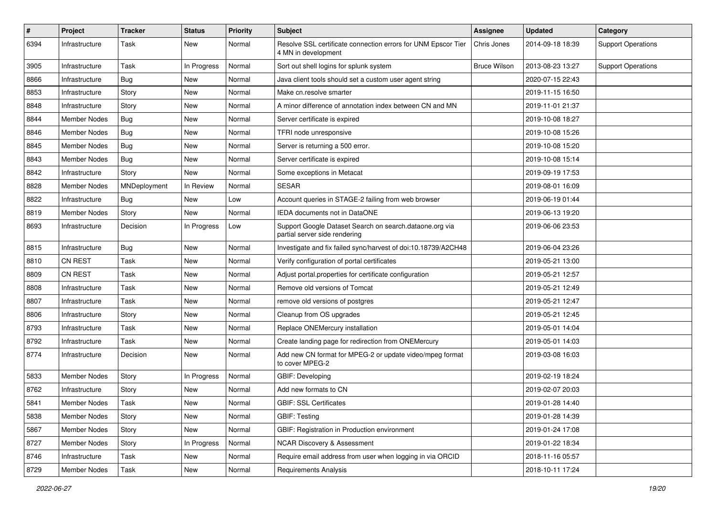| #    | Project             | <b>Tracker</b> | <b>Status</b> | <b>Priority</b> | <b>Subject</b>                                                                           | Assignee            | <b>Updated</b>   | Category                  |
|------|---------------------|----------------|---------------|-----------------|------------------------------------------------------------------------------------------|---------------------|------------------|---------------------------|
| 6394 | Infrastructure      | Task           | New           | Normal          | Resolve SSL certificate connection errors for UNM Epscor Tier<br>4 MN in development     | Chris Jones         | 2014-09-18 18:39 | <b>Support Operations</b> |
| 3905 | Infrastructure      | Task           | In Progress   | Normal          | Sort out shell logins for splunk system                                                  | <b>Bruce Wilson</b> | 2013-08-23 13:27 | <b>Support Operations</b> |
| 8866 | Infrastructure      | <b>Bug</b>     | New           | Normal          | Java client tools should set a custom user agent string                                  |                     | 2020-07-15 22:43 |                           |
| 8853 | Infrastructure      | Story          | New           | Normal          | Make cn.resolve smarter                                                                  |                     | 2019-11-15 16:50 |                           |
| 8848 | Infrastructure      | Story          | New           | Normal          | A minor difference of annotation index between CN and MN                                 |                     | 2019-11-01 21:37 |                           |
| 8844 | Member Nodes        | <b>Bug</b>     | New           | Normal          | Server certificate is expired                                                            |                     | 2019-10-08 18:27 |                           |
| 8846 | Member Nodes        | Bug            | New           | Normal          | TFRI node unresponsive                                                                   |                     | 2019-10-08 15:26 |                           |
| 8845 | Member Nodes        | <b>Bug</b>     | New           | Normal          | Server is returning a 500 error.                                                         |                     | 2019-10-08 15:20 |                           |
| 8843 | Member Nodes        | Bug            | New           | Normal          | Server certificate is expired                                                            |                     | 2019-10-08 15:14 |                           |
| 8842 | Infrastructure      | Story          | New           | Normal          | Some exceptions in Metacat                                                               |                     | 2019-09-19 17:53 |                           |
| 8828 | Member Nodes        | MNDeployment   | In Review     | Normal          | <b>SESAR</b>                                                                             |                     | 2019-08-01 16:09 |                           |
| 8822 | Infrastructure      | Bug            | New           | Low             | Account queries in STAGE-2 failing from web browser                                      |                     | 2019-06-19 01:44 |                           |
| 8819 | Member Nodes        | Story          | New           | Normal          | IEDA documents not in DataONE                                                            |                     | 2019-06-13 19:20 |                           |
| 8693 | Infrastructure      | Decision       | In Progress   | Low             | Support Google Dataset Search on search.dataone.org via<br>partial server side rendering |                     | 2019-06-06 23:53 |                           |
| 8815 | Infrastructure      | Bug            | New           | Normal          | Investigate and fix failed sync/harvest of doi:10.18739/A2CH48                           |                     | 2019-06-04 23:26 |                           |
| 8810 | CN REST             | Task           | New           | Normal          | Verify configuration of portal certificates                                              |                     | 2019-05-21 13:00 |                           |
| 8809 | CN REST             | Task           | New           | Normal          | Adjust portal properties for certificate configuration                                   |                     | 2019-05-21 12:57 |                           |
| 8808 | Infrastructure      | Task           | New           | Normal          | Remove old versions of Tomcat                                                            |                     | 2019-05-21 12:49 |                           |
| 8807 | Infrastructure      | Task           | New           | Normal          | remove old versions of postgres                                                          |                     | 2019-05-21 12:47 |                           |
| 8806 | Infrastructure      | Story          | New           | Normal          | Cleanup from OS upgrades                                                                 |                     | 2019-05-21 12:45 |                           |
| 8793 | Infrastructure      | Task           | New           | Normal          | Replace ONEMercury installation                                                          |                     | 2019-05-01 14:04 |                           |
| 8792 | Infrastructure      | Task           | New           | Normal          | Create landing page for redirection from ONEMercury                                      |                     | 2019-05-01 14:03 |                           |
| 8774 | Infrastructure      | Decision       | New           | Normal          | Add new CN format for MPEG-2 or update video/mpeg format<br>to cover MPEG-2              |                     | 2019-03-08 16:03 |                           |
| 5833 | Member Nodes        | Story          | In Progress   | Normal          | GBIF: Developing                                                                         |                     | 2019-02-19 18:24 |                           |
| 8762 | Infrastructure      | Story          | New           | Normal          | Add new formats to CN                                                                    |                     | 2019-02-07 20:03 |                           |
| 5841 | <b>Member Nodes</b> | Task           | New           | Normal          | <b>GBIF: SSL Certificates</b>                                                            |                     | 2019-01-28 14:40 |                           |
| 5838 | Member Nodes        | Story          | New           | Normal          | <b>GBIF: Testing</b>                                                                     |                     | 2019-01-28 14:39 |                           |
| 5867 | Member Nodes        | Story          | New           | Normal          | GBIF: Registration in Production environment                                             |                     | 2019-01-24 17:08 |                           |
| 8727 | Member Nodes        | Story          | In Progress   | Normal          | <b>NCAR Discovery &amp; Assessment</b>                                                   |                     | 2019-01-22 18:34 |                           |
| 8746 | Infrastructure      | Task           | New           | Normal          | Require email address from user when logging in via ORCID                                |                     | 2018-11-16 05:57 |                           |
| 8729 | Member Nodes        | Task           | New           | Normal          | <b>Requirements Analysis</b>                                                             |                     | 2018-10-11 17:24 |                           |